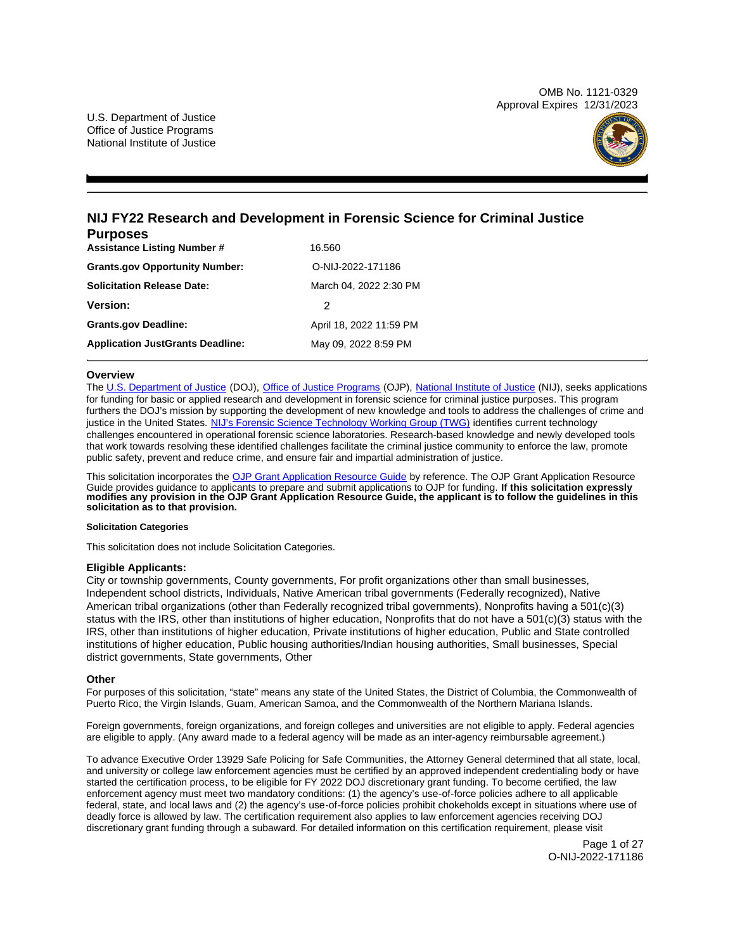OMB No. 1121-0329 Approval Expires 12/31/2023



# **NIJ FY22 Research and Development in Forensic Science for Criminal Justice Purposes**

| г urposes                               |                         |  |  |
|-----------------------------------------|-------------------------|--|--|
| <b>Assistance Listing Number #</b>      | 16.560                  |  |  |
| <b>Grants.gov Opportunity Number:</b>   | O-NIJ-2022-171186       |  |  |
| <b>Solicitation Release Date:</b>       | March 04, 2022 2:30 PM  |  |  |
| <b>Version:</b>                         | 2                       |  |  |
| <b>Grants.gov Deadline:</b>             | April 18, 2022 11:59 PM |  |  |
| <b>Application JustGrants Deadline:</b> | May 09, 2022 8:59 PM    |  |  |

# **Overview**

The [U.S. Department of Justice](https://www.usdoj.gov/) (DOJ), [Office of Justice Programs](https://www.ojp.usdoj.gov/) (OJP), [National Institute of Justice](https://nij.ojp.gov/) (NIJ), seeks applications for funding for basic or applied research and development in forensic science for criminal justice purposes. This program furthers the DOJ's mission by supporting the development of new knowledge and tools to address the challenges of crime and justice in the United States. [NIJ's Forensic Science Technology Working Group \(TWG\)](https://www.nij.gov/topics/forensics/Pages/forensic-operational-requirements.aspx) identifies current technology challenges encountered in operational forensic science laboratories. Research-based knowledge and newly developed tools that work towards resolving these identified challenges facilitate the criminal justice community to enforce the law, promote public safety, prevent and reduce crime, and ensure fair and impartial administration of justice.

This solicitation incorporates the [OJP Grant Application Resource Guide](https://www.ojp.gov/funding/Apply/Resources/Grant-App-Resource-Guide.htm) by reference. The OJP Grant Application Resource Guide provides guidance to applicants to prepare and submit applications to OJP for funding. **If this solicitation expressly modifies any provision in the OJP Grant Application Resource Guide, the applicant is to follow the guidelines in this solicitation as to that provision.** 

# **Solicitation Categories**

This solicitation does not include Solicitation Categories.

# **Eligible Applicants:**

City or township governments, County governments, For profit organizations other than small businesses, Independent school districts, Individuals, Native American tribal governments (Federally recognized), Native American tribal organizations (other than Federally recognized tribal governments), Nonprofits having a 501(c)(3) status with the IRS, other than institutions of higher education, Nonprofits that do not have a 501(c)(3) status with the IRS, other than institutions of higher education, Private institutions of higher education, Public and State controlled institutions of higher education, Public housing authorities/Indian housing authorities, Small businesses, Special district governments, State governments, Other

# **Other**

For purposes of this solicitation, "state" means any state of the United States, the District of Columbia, the Commonwealth of Puerto Rico, the Virgin Islands, Guam, American Samoa, and the Commonwealth of the Northern Mariana Islands.

Foreign governments, foreign organizations, and foreign colleges and universities are not eligible to apply. Federal agencies are eligible to apply. (Any award made to a federal agency will be made as an inter-agency reimbursable agreement.)

To advance Executive Order 13929 Safe Policing for Safe Communities, the Attorney General determined that all state, local, and university or college law enforcement agencies must be certified by an approved independent credentialing body or have started the certification process, to be eligible for FY 2022 DOJ discretionary grant funding. To become certified, the law enforcement agency must meet two mandatory conditions: (1) the agency's use-of-force policies adhere to all applicable federal, state, and local laws and (2) the agency's use-of-force policies prohibit chokeholds except in situations where use of deadly force is allowed by law. The certification requirement also applies to law enforcement agencies receiving DOJ discretionary grant funding through a subaward. For detailed information on this certification requirement, please visit

> Page 1 of 27 O-NIJ-2022-171186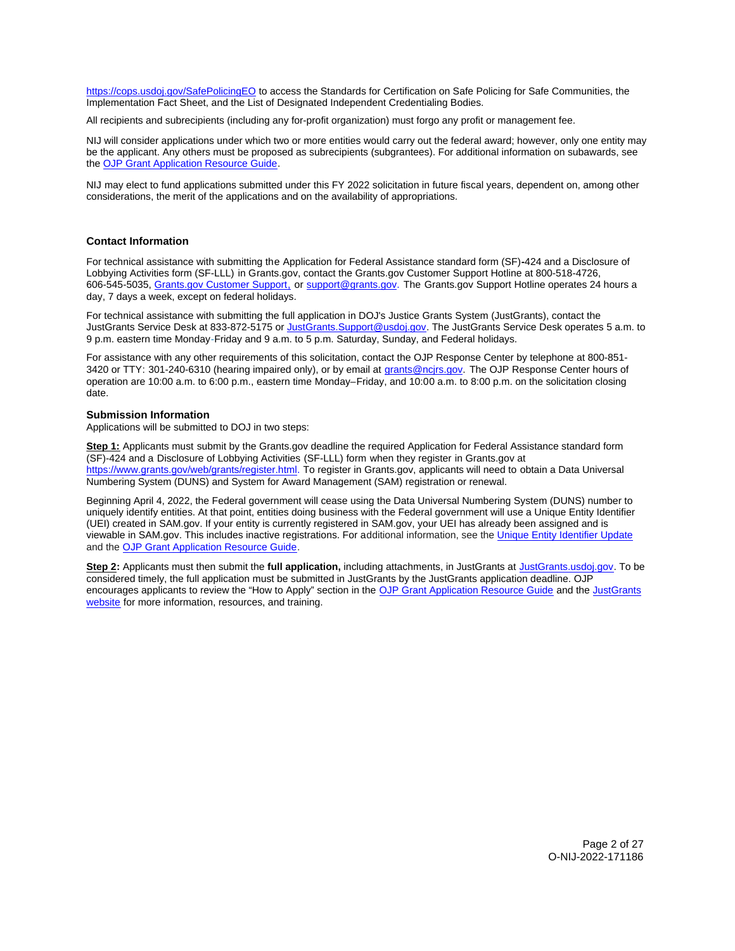<span id="page-1-0"></span>[https://cops.usdoj.gov/SafePolicingEO](https://cops.usdoj.gov/SafePolicingEO%20) to access the Standards for Certification on Safe Policing for Safe Communities, the Implementation Fact Sheet, and the List of Designated Independent Credentialing Bodies.

All recipients and subrecipients (including any for-profit organization) must forgo any profit or management fee.

NIJ will consider applications under which two or more entities would carry out the federal award; however, only one entity may be the applicant. Any others must be proposed as subrecipients (subgrantees). For additional information on subawards, see the [OJP Grant Application Resource Guide.](https://www.ojp.gov/funding/Apply/Resources/Grant-App-Resource-Guide.htm)

NIJ may elect to fund applications submitted under this FY 2022 solicitation in future fiscal years, dependent on, among other considerations, the merit of the applications and on the availability of appropriations.

# **Contact Information**

For technical assistance with submitting the Application for Federal Assistance standard form (SF)**-**424 and a Disclosure of Lobbying Activities form (SF-LLL) in [Grants.gov](https://Grants.gov), contact the [Grants.gov](https://Grants.gov) Customer Support Hotline at 800-518-4726, 606-545-5035, [Grants.gov Customer Support,](https://www.grants.gov/web/grants/support.html) or [support@grants.gov.](mailto:support@grants.gov) The [Grants.gov](https://Grants.gov) Support Hotline operates 24 hours a day, 7 days a week, except on federal holidays.

For technical assistance with submitting the full application in DOJ's Justice Grants System (JustGrants), contact the JustGrants Service Desk at 833-872-5175 or [JustGrants.Support@usdoj.gov.](mailto:JustGrants.Support@usdoj.gov) The JustGrants Service Desk operates 5 a.m. to 9 p.m. eastern time Monday-Friday and 9 a.m. to 5 p.m. Saturday, Sunday, and Federal holidays.

For assistance with any other requirements of this solicitation, contact the OJP Response Center by telephone at 800-851 3420 or TTY: 301-240-6310 (hearing impaired only), or by email at [grants@ncjrs.gov.](mailto:grants@ncjrs.gov) The OJP Response Center hours of operation are 10:00 a.m. to 6:00 p.m., eastern time Monday–Friday, and 10:00 a.m. to 8:00 p.m. on the solicitation closing date.

# **Submission Information**

Applications will be submitted to DOJ in two steps:

**Step 1:** Applicants must submit by the [Grants.gov](https://Grants.gov) deadline the required Application for Federal Assistance standard form (SF)-424 and a Disclosure of Lobbying Activities (SF-LLL) form when they register in [Grants.gov](https://Grants.gov) at [https://www.grants.gov/web/grants/register.html.](https://www.grants.gov/web/grants/register.html) To register in [Grants.gov](https://Grants.gov), applicants will need to obtain a Data Universal Numbering System (DUNS) and System for Award Management (SAM) registration or renewal.

Beginning April 4, 2022, the Federal government will cease using the Data Universal Numbering System (DUNS) number to uniquely identify entities. At that point, entities doing business with the Federal government will use a Unique Entity Identifier (UEI) created in SAM.gov. If your entity is currently registered in SAM.gov, your UEI has already been assigned and is viewable in SAM.gov. This includes inactive registrations. For additional information, see the [Unique Entity Identifier Update](https://www.gsa.gov/about-us/organization/federal-acquisition-service/office-of-systems-management/integrated-award-environment-iae/iae-systems-information-kit/unique-entity-identifier-update)  and the [OJP Grant Application Resource Guide.](https://www.ojp.gov/funding/apply/ojp-grant-application-resource-guide#unique-entity)

**Step 2:** Applicants must then submit the **full application,** including attachments, in JustGrants at [JustGrants.usdoj.gov.](https://justicegrants.usdoj.gov/) To be considered timely, the full application must be submitted in JustGrants by the JustGrants application deadline. OJP encourages applicants to review the "How to Apply" section in the [OJP Grant Application Resource Guide](https://www.ojp.gov/funding/apply/ojp-grant-application-resource-guide#apply) and the [JustGrants](https://justicegrants.usdoj.gov/news)  [website](https://justicegrants.usdoj.gov/news) for more information, resources, and training.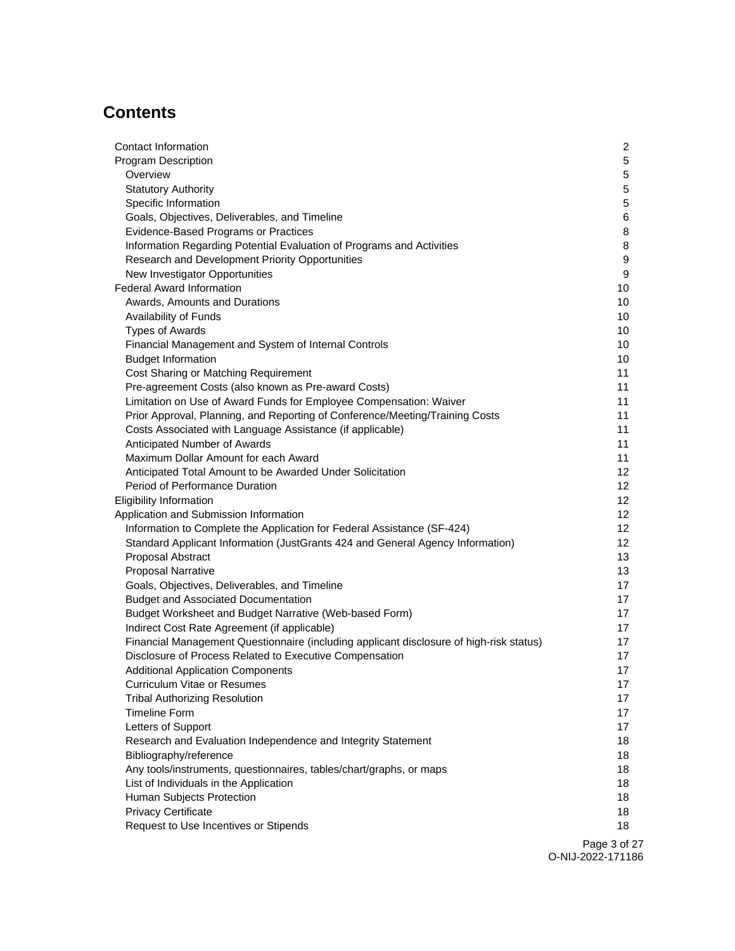# **Contents**

| Contact Information                                                                     | $\overline{2}$  |
|-----------------------------------------------------------------------------------------|-----------------|
| <b>Program Description</b>                                                              | 5               |
| Overview                                                                                | 5               |
| <b>Statutory Authority</b>                                                              | $\sqrt{5}$      |
| Specific Information                                                                    | $\sqrt{5}$      |
| Goals, Objectives, Deliverables, and Timeline                                           | 6               |
| Evidence-Based Programs or Practices                                                    | 8               |
| Information Regarding Potential Evaluation of Programs and Activities                   | 8               |
| Research and Development Priority Opportunities                                         | 9               |
| New Investigator Opportunities                                                          | 9               |
| Federal Award Information                                                               | 10              |
| Awards, Amounts and Durations                                                           | 10              |
| Availability of Funds                                                                   | 10              |
| <b>Types of Awards</b>                                                                  | 10              |
| Financial Management and System of Internal Controls                                    | 10              |
| <b>Budget Information</b>                                                               | 10              |
| Cost Sharing or Matching Requirement                                                    | 11              |
| Pre-agreement Costs (also known as Pre-award Costs)                                     | 11              |
| Limitation on Use of Award Funds for Employee Compensation: Waiver                      | 11              |
| Prior Approval, Planning, and Reporting of Conference/Meeting/Training Costs            | 11              |
| Costs Associated with Language Assistance (if applicable)                               | 11              |
| Anticipated Number of Awards                                                            | 11              |
| Maximum Dollar Amount for each Award                                                    | 11              |
| Anticipated Total Amount to be Awarded Under Solicitation                               | 12              |
| Period of Performance Duration                                                          | 12              |
| <b>Eligibility Information</b>                                                          | 12 <sup>2</sup> |
| Application and Submission Information                                                  | 12              |
| Information to Complete the Application for Federal Assistance (SF-424)                 | 12              |
| Standard Applicant Information (JustGrants 424 and General Agency Information)          | 12 <sup>2</sup> |
| Proposal Abstract                                                                       | 13              |
| <b>Proposal Narrative</b>                                                               | 13              |
| Goals, Objectives, Deliverables, and Timeline                                           | 17              |
| <b>Budget and Associated Documentation</b>                                              | 17              |
| Budget Worksheet and Budget Narrative (Web-based Form)                                  | 17              |
| Indirect Cost Rate Agreement (if applicable)                                            | 17              |
| Financial Management Questionnaire (including applicant disclosure of high-risk status) | 17              |
| Disclosure of Process Related to Executive Compensation                                 | 17              |
| <b>Additional Application Components</b>                                                | 17              |
| Curriculum Vitae or Resumes                                                             | 17              |
| <b>Tribal Authorizing Resolution</b>                                                    | 17              |
| <b>Timeline Form</b>                                                                    | 17              |
| Letters of Support                                                                      | 17              |
| Research and Evaluation Independence and Integrity Statement                            | 18              |
| Bibliography/reference                                                                  | 18              |
| Any tools/instruments, questionnaires, tables/chart/graphs, or maps                     | 18              |
| List of Individuals in the Application                                                  | 18              |
| Human Subjects Protection                                                               | 18              |
| <b>Privacy Certificate</b>                                                              | 18              |
| Request to Use Incentives or Stipends                                                   | 18              |
|                                                                                         | $Dao \circ f$   |

Page 3 of 27 O-NIJ-2022-171186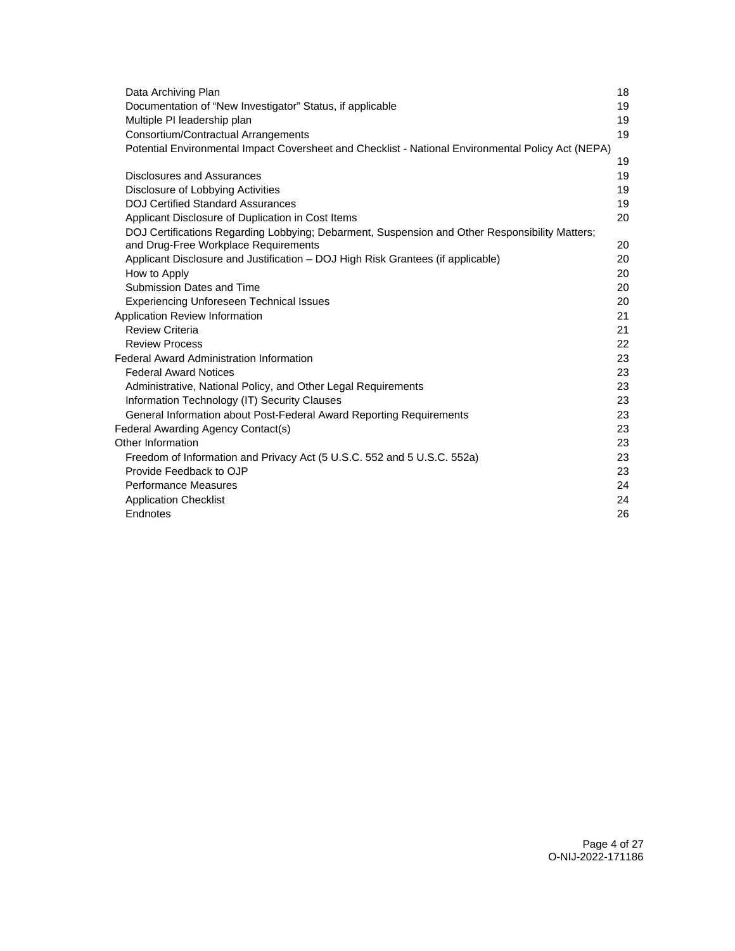| Data Archiving Plan                                                                                | 18 |
|----------------------------------------------------------------------------------------------------|----|
| Documentation of "New Investigator" Status, if applicable                                          | 19 |
| Multiple PI leadership plan                                                                        | 19 |
| Consortium/Contractual Arrangements                                                                | 19 |
| Potential Environmental Impact Coversheet and Checklist - National Environmental Policy Act (NEPA) |    |
|                                                                                                    | 19 |
| Disclosures and Assurances                                                                         | 19 |
| Disclosure of Lobbying Activities                                                                  | 19 |
| <b>DOJ Certified Standard Assurances</b>                                                           | 19 |
| Applicant Disclosure of Duplication in Cost Items                                                  | 20 |
| DOJ Certifications Regarding Lobbying; Debarment, Suspension and Other Responsibility Matters;     |    |
| and Drug-Free Workplace Requirements                                                               | 20 |
| Applicant Disclosure and Justification – DOJ High Risk Grantees (if applicable)                    | 20 |
| How to Apply                                                                                       | 20 |
| Submission Dates and Time                                                                          | 20 |
| <b>Experiencing Unforeseen Technical Issues</b>                                                    | 20 |
| Application Review Information                                                                     | 21 |
| <b>Review Criteria</b>                                                                             | 21 |
| <b>Review Process</b>                                                                              | 22 |
| <b>Federal Award Administration Information</b>                                                    | 23 |
| <b>Federal Award Notices</b>                                                                       | 23 |
| Administrative, National Policy, and Other Legal Requirements                                      | 23 |
| Information Technology (IT) Security Clauses                                                       | 23 |
| General Information about Post-Federal Award Reporting Requirements                                | 23 |
| Federal Awarding Agency Contact(s)                                                                 | 23 |
| Other Information                                                                                  | 23 |
| Freedom of Information and Privacy Act (5 U.S.C. 552 and 5 U.S.C. 552a)                            | 23 |
| Provide Feedback to OJP                                                                            | 23 |
| <b>Performance Measures</b>                                                                        | 24 |
| <b>Application Checklist</b>                                                                       | 24 |
| Endnotes                                                                                           | 26 |
|                                                                                                    |    |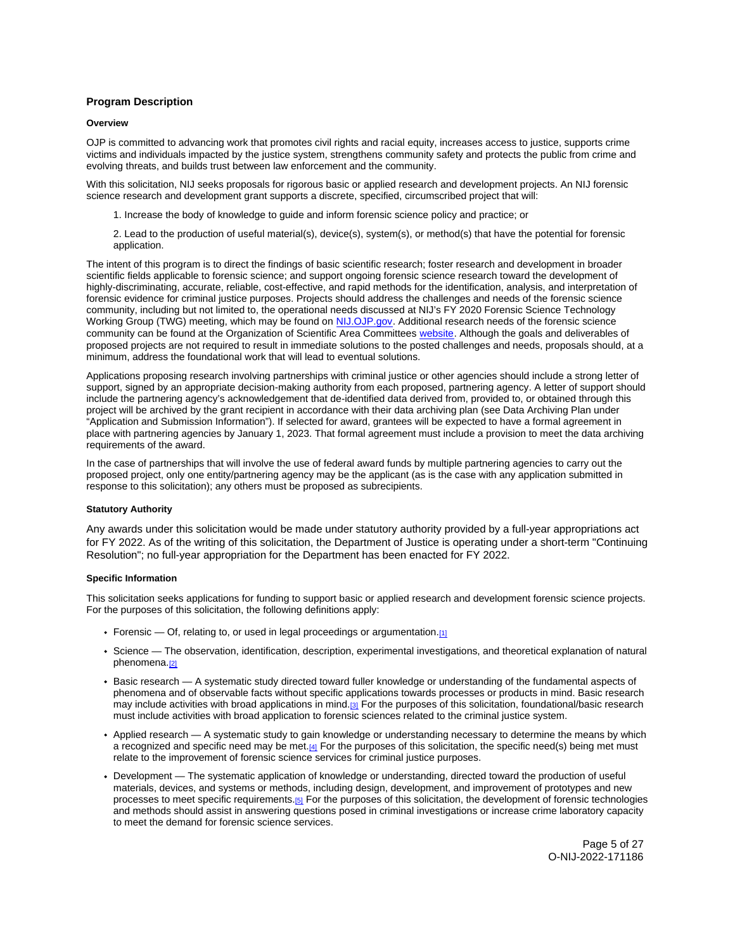# <span id="page-4-0"></span>**Program Description**

#### **Overview**

OJP is committed to advancing work that promotes civil rights and racial equity, increases access to justice, supports crime victims and individuals impacted by the justice system, strengthens community safety and protects the public from crime and evolving threats, and builds trust between law enforcement and the community.

With this solicitation, NIJ seeks proposals for rigorous basic or applied research and development projects. An NIJ forensic science research and development grant supports a discrete, specified, circumscribed project that will:

- 1. Increase the body of knowledge to guide and inform forensic science policy and practice; or
- 2. Lead to the production of useful material(s), device(s), system(s), or method(s) that have the potential for forensic application.

The intent of this program is to direct the findings of basic scientific research; foster research and development in broader scientific fields applicable to forensic science; and support ongoing forensic science research toward the development of highly-discriminating, accurate, reliable, cost-effective, and rapid methods for the identification, analysis, and interpretation of forensic evidence for criminal justice purposes. Projects should address the challenges and needs of the forensic science community, including but not limited to, the operational needs discussed at NIJ's FY 2020 Forensic Science Technology Working Group (TWG) meeting, which may be found on [NIJ.OJP.gov.](https://nij.ojp.gov/topics/articles/forensic-science-research-and-development-technology-working-group-operational) Additional research needs of the forensic science community can be found at the Organization of Scientific Area Committees [website.](https://www.nist.gov/topics/organization-scientific-area-committees-forensic-science) Although the goals and deliverables of proposed projects are not required to result in immediate solutions to the posted challenges and needs, proposals should, at a minimum, address the foundational work that will lead to eventual solutions.

Applications proposing research involving partnerships with criminal justice or other agencies should include a strong letter of support, signed by an appropriate decision-making authority from each proposed, partnering agency. A letter of support should include the partnering agency's acknowledgement that de-identified data derived from, provided to, or obtained through this project will be archived by the grant recipient in accordance with their data archiving plan (see Data Archiving Plan under "Application and Submission Information"). If selected for award, grantees will be expected to have a formal agreement in place with partnering agencies by January 1, 2023. That formal agreement must include a provision to meet the data archiving requirements of the award.

In the case of partnerships that will involve the use of federal award funds by multiple partnering agencies to carry out the proposed project, only one entity/partnering agency may be the applicant (as is the case with any application submitted in response to this solicitation); any others must be proposed as subrecipients.

# **Statutory Authority**

Any awards under this solicitation would be made under statutory authority provided by a full-year appropriations act for FY 2022. As of the writing of this solicitation, the Department of Justice is operating under a short-term "Continuing Resolution"; no full-year appropriation for the Department has been enacted for FY 2022.

### **Specific Information**

This solicitation seeks applications for funding to support basic or applied research and development forensic science projects. For the purposes of this solicitation, the following definitions apply:

- Forensic  $-$  Of, relating to, or used in legal proceedings or argumentation.[1]
- Science The observation, identification, description, experimental investigations, and theoretical explanation of natural phenomena.<sup>[2]</sup>
- Basic research A systematic study directed toward fuller knowledge or understanding of the fundamental aspects of phenomena and of observable facts without specific applications towards processes or products in mind. Basic research may include activities with broad applications in mind.[\[3\]](#page-25-0) For the purposes of this solicitation, foundational/basic research must include activities with broad application to forensic sciences related to the criminal justice system.
- Applied research A systematic study to gain knowledge or understanding necessary to determine the means by which a recognized and specific need may be met.[\[4\]](#page-25-0) For the purposes of this solicitation, the specific need(s) being met must relate to the improvement of forensic science services for criminal justice purposes.
- Development The systematic application of knowledge or understanding, directed toward the production of useful materials, devices, and systems or methods, including design, development, and improvement of prototypes and new processes to meet specific requirements.[\[5\]](#page-25-0) For the purposes of this solicitation, the development of forensic technologies and methods should assist in answering questions posed in criminal investigations or increase crime laboratory capacity to meet the demand for forensic science services.

Page 5 of 27 O-NIJ-2022-171186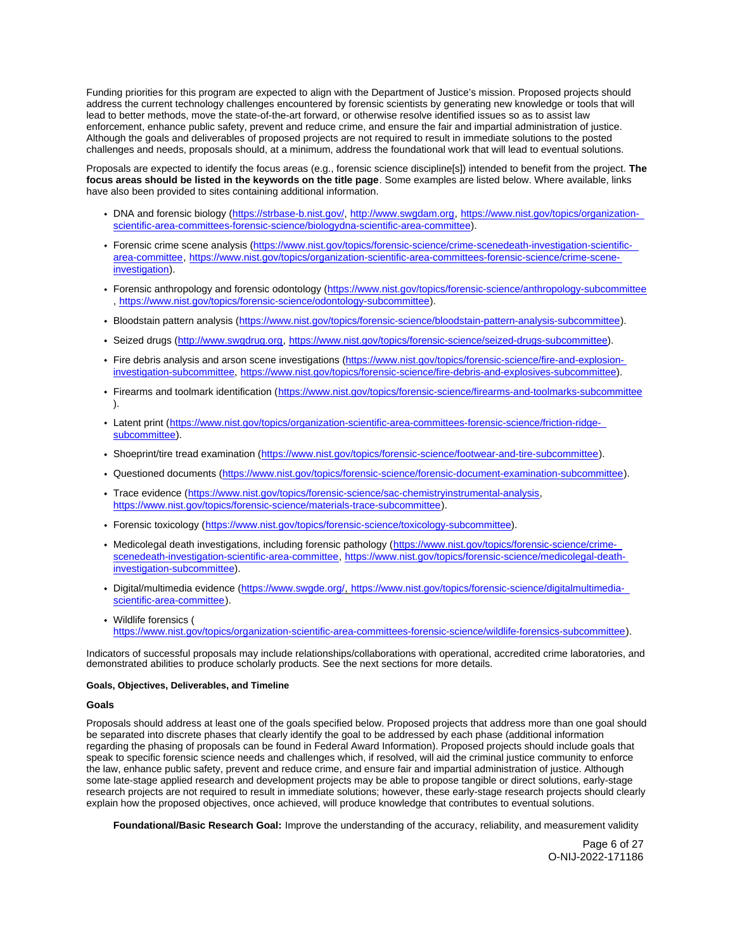<span id="page-5-0"></span>Funding priorities for this program are expected to align with the Department of Justice's mission. Proposed projects should address the current technology challenges encountered by forensic scientists by generating new knowledge or tools that will lead to better methods, move the state-of-the-art forward, or otherwise resolve identified issues so as to assist law enforcement, enhance public safety, prevent and reduce crime, and ensure the fair and impartial administration of justice. Although the goals and deliverables of proposed projects are not required to result in immediate solutions to the posted challenges and needs, proposals should, at a minimum, address the foundational work that will lead to eventual solutions.

Proposals are expected to identify the focus areas (e.g., forensic science discipline[s]) intended to benefit from the project. **The focus areas should be listed in the keywords on the title page**. Some examples are listed below. Where available, links have also been provided to sites containing additional information.

- DNA and forensic biology ([https://strbase-b.nist.gov/,](https://strbase-b.nist.gov/) [http://www.swgdam.org,](http://www.swgdam.org) [https://www.nist.gov/topics/organization](https://www.nist.gov/topics/organization-scientific-area-committees-forensic-science/biologydna-scientific-area-committee)[scientific-area-committees-forensic-science/biologydna-scientific-area-committee\)](https://www.nist.gov/topics/organization-scientific-area-committees-forensic-science/biologydna-scientific-area-committee).
- Forensic crime scene analysis [\(https://www.nist.gov/topics/forensic-science/crime-scenedeath-investigation-scientific](https://www.nist.gov/topics/forensic-science/crime-scenedeath-investigation-scientific-area-committee)[area-committee,](https://www.nist.gov/topics/forensic-science/crime-scenedeath-investigation-scientific-area-committee) [https://www.nist.gov/topics/organization-scientific-area-committees-forensic-science/crime-scene](https://www.nist.gov/topics/organization-scientific-area-committees-forensic-science/crime-scene-investigation)[investigation\)](https://www.nist.gov/topics/organization-scientific-area-committees-forensic-science/crime-scene-investigation).
- Forensic anthropology and forensic odontology (<https://www.nist.gov/topics/forensic-science/anthropology-subcommittee> , [https://www.nist.gov/topics/forensic-science/odontology-subcommittee\)](https://www.nist.gov/topics/forensic-science/odontology-subcommittee).
- Bloodstain pattern analysis [\(https://www.nist.gov/topics/forensic-science/bloodstain-pattern-analysis-subcommittee\)](https://www.nist.gov/topics/forensic-science/bloodstain-pattern-analysis-subcommittee).
- Seized drugs [\(http://www.swgdrug.org,](http://www.swgdrug.org) [https://www.nist.gov/topics/forensic-science/seized-drugs-subcommittee\)](https://www.nist.gov/topics/forensic-science/seized-drugs-subcommittee).
- Fire debris analysis and arson scene investigations [\(https://www.nist.gov/topics/forensic-science/fire-and-explosion](https://www.nist.gov/topics/forensic-science/fire-and-explosion-investigation-subcommittee)[investigation-subcommittee,](https://www.nist.gov/topics/forensic-science/fire-and-explosion-investigation-subcommittee) [https://www.nist.gov/topics/forensic-science/fire-debris-and-explosives-subcommittee\)](https://www.nist.gov/topics/forensic-science/fire-debris-and-explosives-subcommittee).
- Firearms and toolmark identification (<https://www.nist.gov/topics/forensic-science/firearms-and-toolmarks-subcommittee> ).
- Latent print ([https://www.nist.gov/topics/organization-scientific-area-committees-forensic-science/friction-ridge](https://www.nist.gov/topics/organization-scientific-area-committees-forensic-science/friction-ridge-subcommittee)[subcommittee\)](https://www.nist.gov/topics/organization-scientific-area-committees-forensic-science/friction-ridge-subcommittee).
- Shoeprint/tire tread examination ([https://www.nist.gov/topics/forensic-science/footwear-and-tire-subcommittee\)](https://www.nist.gov/topics/forensic-science/footwear-and-tire-subcommittee).
- Questioned documents [\(https://www.nist.gov/topics/forensic-science/forensic-document-examination-subcommittee\)](https://www.nist.gov/topics/forensic-science/forensic-document-examination-subcommittee).
- Trace evidence ([https://www.nist.gov/topics/forensic-science/sac-chemistryinstrumental-analysis,](https://www.nist.gov/topics/forensic-science/sac-chemistryinstrumental-analysis) [https://www.nist.gov/topics/forensic-science/materials-trace-subcommittee\)](https://www.nist.gov/topics/forensic-science/materials-trace-subcommittee).
- Forensic toxicology ([https://www.nist.gov/topics/forensic-science/toxicology-subcommittee\)](https://www.nist.gov/topics/forensic-science/toxicology-subcommittee).
- Medicolegal death investigations, including forensic pathology ([https://www.nist.gov/topics/forensic-science/crime](https://www.nist.gov/topics/forensic-science/crime-scenedeath-investigation-scientific-area-committee)[scenedeath-investigation-scientific-area-committee,](https://www.nist.gov/topics/forensic-science/crime-scenedeath-investigation-scientific-area-committee) [https://www.nist.gov/topics/forensic-science/medicolegal-death](https://www.nist.gov/topics/forensic-science/medicolegal-death-investigation-subcommittee)[investigation-subcommittee\)](https://www.nist.gov/topics/forensic-science/medicolegal-death-investigation-subcommittee).
- Digital/multimedia evidence ([https://www.swgde.org/,](https://www.swgde.org/) [https://www.nist.gov/topics/forensic-science/digitalmultimedia](https://www.nist.gov/topics/forensic-science/digitalmultimedia-scientific-area-committee)[scientific-area-committee\)](https://www.nist.gov/topics/forensic-science/digitalmultimedia-scientific-area-committee).
- Wildlife forensics ( [https://www.nist.gov/topics/organization-scientific-area-committees-forensic-science/wildlife-forensics-subcommittee\)](https://www.nist.gov/topics/organization-scientific-area-committees-forensic-science/wildlife-forensics-subcommittee).

Indicators of successful proposals may include relationships/collaborations with operational, accredited crime laboratories, and demonstrated abilities to produce scholarly products. See the next sections for more details.

# **Goals, Objectives, Deliverables, and Timeline**

#### **Goals**

Proposals should address at least one of the goals specified below. Proposed projects that address more than one goal should be separated into discrete phases that clearly identify the goal to be addressed by each phase (additional information regarding the phasing of proposals can be found in Federal Award Information). Proposed projects should include goals that speak to specific forensic science needs and challenges which, if resolved, will aid the criminal justice community to enforce the law, enhance public safety, prevent and reduce crime, and ensure fair and impartial administration of justice. Although some late-stage applied research and development projects may be able to propose tangible or direct solutions, early-stage research projects are not required to result in immediate solutions; however, these early-stage research projects should clearly explain how the proposed objectives, once achieved, will produce knowledge that contributes to eventual solutions.

**Foundational/Basic Research Goal:** Improve the understanding of the accuracy, reliability, and measurement validity

Page 6 of 27 O-NIJ-2022-171186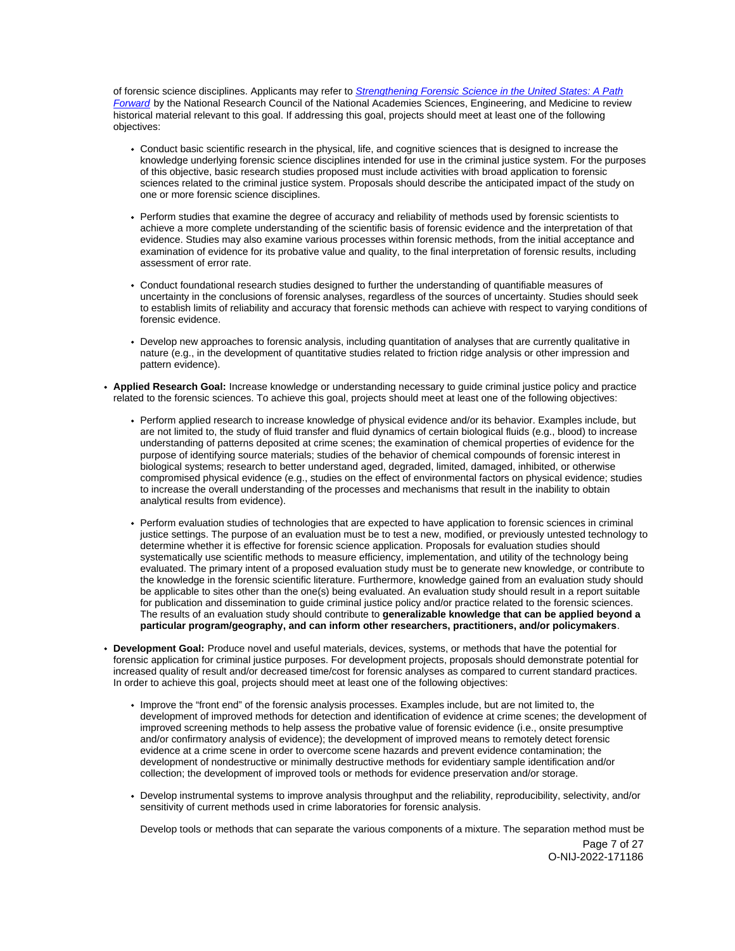of forensic science disciplines. Applicants may refer to Strengthening Forensic Science in the United States: A Path [Forward](https://www.ncjrs.gov/pdffiles1/nij/grants/228091.pdf) by the National Research Council of the National Academies Sciences, Engineering, and Medicine to review historical material relevant to this goal. If addressing this goal, projects should meet at least one of the following objectives:

- Conduct basic scientific research in the physical, life, and cognitive sciences that is designed to increase the knowledge underlying forensic science disciplines intended for use in the criminal justice system. For the purposes of this objective, basic research studies proposed must include activities with broad application to forensic sciences related to the criminal justice system. Proposals should describe the anticipated impact of the study on one or more forensic science disciplines.
- Perform studies that examine the degree of accuracy and reliability of methods used by forensic scientists to achieve a more complete understanding of the scientific basis of forensic evidence and the interpretation of that evidence. Studies may also examine various processes within forensic methods, from the initial acceptance and examination of evidence for its probative value and quality, to the final interpretation of forensic results, including assessment of error rate.
- Conduct foundational research studies designed to further the understanding of quantifiable measures of uncertainty in the conclusions of forensic analyses, regardless of the sources of uncertainty. Studies should seek to establish limits of reliability and accuracy that forensic methods can achieve with respect to varying conditions of forensic evidence.
- Develop new approaches to forensic analysis, including quantitation of analyses that are currently qualitative in nature (e.g., in the development of quantitative studies related to friction ridge analysis or other impression and pattern evidence).
- **Applied Research Goal:** Increase knowledge or understanding necessary to guide criminal justice policy and practice related to the forensic sciences. To achieve this goal, projects should meet at least one of the following objectives:
	- Perform applied research to increase knowledge of physical evidence and/or its behavior. Examples include, but are not limited to, the study of fluid transfer and fluid dynamics of certain biological fluids (e.g., blood) to increase understanding of patterns deposited at crime scenes; the examination of chemical properties of evidence for the purpose of identifying source materials; studies of the behavior of chemical compounds of forensic interest in biological systems; research to better understand aged, degraded, limited, damaged, inhibited, or otherwise compromised physical evidence (e.g., studies on the effect of environmental factors on physical evidence; studies to increase the overall understanding of the processes and mechanisms that result in the inability to obtain analytical results from evidence).
	- Perform evaluation studies of technologies that are expected to have application to forensic sciences in criminal justice settings. The purpose of an evaluation must be to test a new, modified, or previously untested technology to determine whether it is effective for forensic science application. Proposals for evaluation studies should systematically use scientific methods to measure efficiency, implementation, and utility of the technology being evaluated. The primary intent of a proposed evaluation study must be to generate new knowledge, or contribute to the knowledge in the forensic scientific literature. Furthermore, knowledge gained from an evaluation study should be applicable to sites other than the one(s) being evaluated. An evaluation study should result in a report suitable for publication and dissemination to guide criminal justice policy and/or practice related to the forensic sciences. The results of an evaluation study should contribute to **generalizable knowledge that can be applied beyond a particular program/geography, and can inform other researchers, practitioners, and/or policymakers**.
- **Development Goal:** Produce novel and useful materials, devices, systems, or methods that have the potential for forensic application for criminal justice purposes. For development projects, proposals should demonstrate potential for increased quality of result and/or decreased time/cost for forensic analyses as compared to current standard practices. In order to achieve this goal, projects should meet at least one of the following objectives:
	- Improve the "front end" of the forensic analysis processes. Examples include, but are not limited to, the development of improved methods for detection and identification of evidence at crime scenes; the development of improved screening methods to help assess the probative value of forensic evidence (i.e., onsite presumptive and/or confirmatory analysis of evidence); the development of improved means to remotely detect forensic evidence at a crime scene in order to overcome scene hazards and prevent evidence contamination; the development of nondestructive or minimally destructive methods for evidentiary sample identification and/or collection; the development of improved tools or methods for evidence preservation and/or storage.
	- Develop instrumental systems to improve analysis throughput and the reliability, reproducibility, selectivity, and/or sensitivity of current methods used in crime laboratories for forensic analysis.

Develop tools or methods that can separate the various components of a mixture. The separation method must be Page 7 of 27 O-NIJ-2022-171186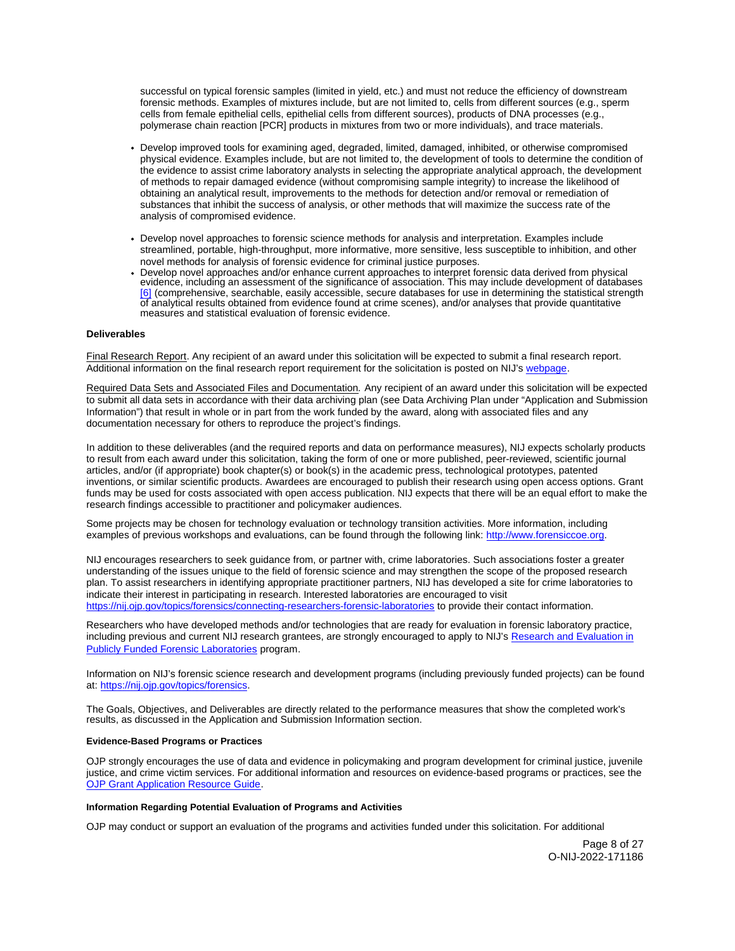<span id="page-7-0"></span>successful on typical forensic samples (limited in yield, etc.) and must not reduce the efficiency of downstream forensic methods. Examples of mixtures include, but are not limited to, cells from different sources (e.g., sperm cells from female epithelial cells, epithelial cells from different sources), products of DNA processes (e.g., polymerase chain reaction [PCR] products in mixtures from two or more individuals), and trace materials.

- Develop improved tools for examining aged, degraded, limited, damaged, inhibited, or otherwise compromised physical evidence. Examples include, but are not limited to, the development of tools to determine the condition of the evidence to assist crime laboratory analysts in selecting the appropriate analytical approach, the development of methods to repair damaged evidence (without compromising sample integrity) to increase the likelihood of obtaining an analytical result, improvements to the methods for detection and/or removal or remediation of substances that inhibit the success of analysis, or other methods that will maximize the success rate of the analysis of compromised evidence.
- Develop novel approaches to forensic science methods for analysis and interpretation. Examples include streamlined, portable, high-throughput, more informative, more sensitive, less susceptible to inhibition, and other novel methods for analysis of forensic evidence for criminal justice purposes.
- Develop novel approaches and/or enhance current approaches to interpret forensic data derived from physical evidence, including an assessment of the significance of association. This may include development of databases [\[6\]](#page-25-0) (comprehensive, searchable, easily accessible, secure databases for use in determining the statistical strength of analytical results obtained from evidence found at crime scenes), and/or analyses that provide quantitative measures and statistical evaluation of forensic evidence.

# **Deliverables**

Final Research Report. Any recipient of an award under this solicitation will be expected to submit a final research report. Additional information on the final research report requirement for the solicitation is posted on NIJ's [webpage.](https://nij.ojp.gov/funding/research-development-and-evaluation-grant-award-requirements#xp5fv)

Required Data Sets and Associated Files and Documentation. Any recipient of an award under this solicitation will be expected to submit all data sets in accordance with their data archiving plan (see Data Archiving Plan under "Application and Submission Information") that result in whole or in part from the work funded by the award, along with associated files and any documentation necessary for others to reproduce the project's findings.

In addition to these deliverables (and the required reports and data on performance measures), NIJ expects scholarly products to result from each award under this solicitation, taking the form of one or more published, peer-reviewed, scientific journal articles, and/or (if appropriate) book chapter(s) or book(s) in the academic press, technological prototypes, patented inventions, or similar scientific products. Awardees are encouraged to publish their research using open access options. Grant funds may be used for costs associated with open access publication. NIJ expects that there will be an equal effort to make the research findings accessible to practitioner and policymaker audiences.

Some projects may be chosen for technology evaluation or technology transition activities. More information, including examples of previous workshops and evaluations, can be found through the following link: [http://www.forensiccoe.org.](http://www.forensiccoe.org)

NIJ encourages researchers to seek guidance from, or partner with, crime laboratories. Such associations foster a greater understanding of the issues unique to the field of forensic science and may strengthen the scope of the proposed research plan. To assist researchers in identifying appropriate practitioner partners, NIJ has developed a site for crime laboratories to indicate their interest in participating in research. Interested laboratories are encouraged to visit <https://nij.ojp.gov/topics/forensics/connecting-researchers-forensic-laboratories>to provide their contact information.

Researchers who have developed methods and/or technologies that are ready for evaluation in forensic laboratory practice, including previous and current NIJ research grantees, are strongly encouraged to apply to NIJ's [Research and Evaluation in](https://nij.ojp.gov/funding/research-and-evaluation-publicly-funded-forensic-laboratories)  [Publicly Funded Forensic Laboratories](https://nij.ojp.gov/funding/research-and-evaluation-publicly-funded-forensic-laboratories) program.

Information on NIJ's forensic science research and development programs (including previously funded projects) can be found at: [https://nij.ojp.gov/topics/forensics.](https://nij.ojp.gov/topics/forensics)

The Goals, Objectives, and Deliverables are directly related to the performance measures that show the completed work's results, as discussed in the Application and Submission Information section.

# **Evidence-Based Programs or Practices**

OJP strongly encourages the use of data and evidence in policymaking and program development for criminal justice, juvenile justice, and crime victim services. For additional information and resources on evidence-based programs or practices, see the [OJP Grant Application Resource Guide.](https://www.ojp.gov/funding/apply/ojp-grant-application-resource-guide#evidence-based)

# **Information Regarding Potential Evaluation of Programs and Activities**

OJP may conduct or support an evaluation of the programs and activities funded under this solicitation. For additional

Page 8 of 27 O-NIJ-2022-171186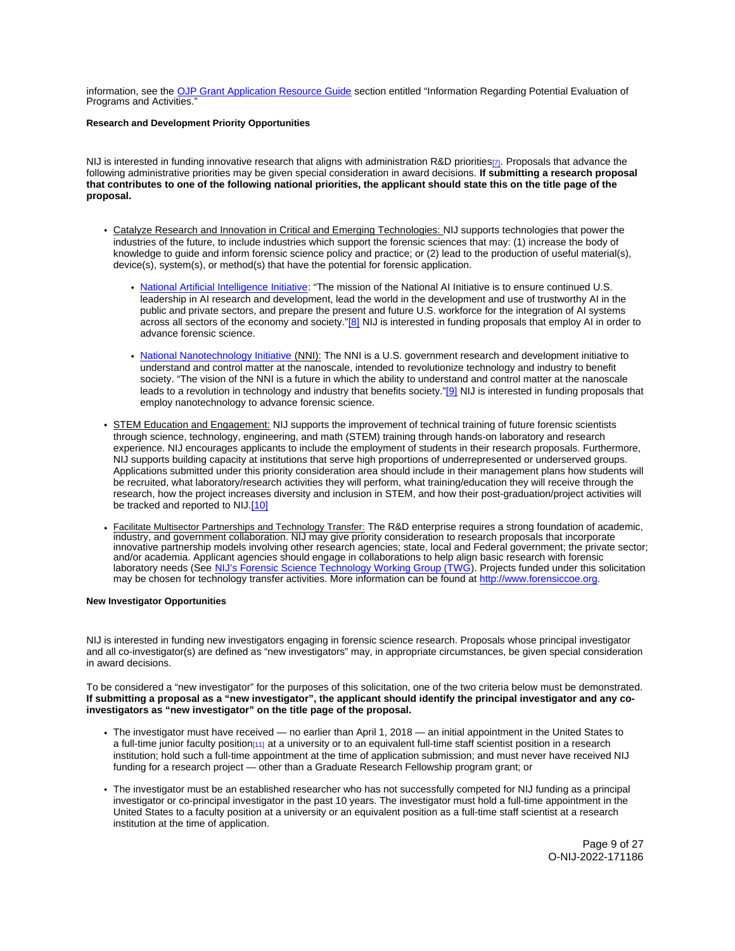<span id="page-8-0"></span>information, see the [OJP Grant Application Resource Guide](https://www.ojp.gov/funding/apply/ojp-grant-application-resource-guide#potential-evaluation) section entitled "Information Regarding Potential Evaluation of Programs and Activities."

# **Research and Development Priority Opportunities**

NIJ is interested in funding innovative research that aligns with administration R&D prioritie[s\[7\].](#page-25-0) Proposals that advance the following administrative priorities may be given special consideration in award decisions. **If submitting a research proposal that contributes to one of the following national priorities, the applicant should state this on the title page of the proposal.** 

- Catalyze Research and Innovation in Critical and Emerging Technologies: NIJ supports technologies that power the industries of the future, to include industries which support the forensic sciences that may: (1) increase the body of knowledge to guide and inform forensic science policy and practice; or (2) lead to the production of useful material(s), device(s), system(s), or method(s) that have the potential for forensic application.
	- [National Artificial Intelligence Initiative:](https://www.ai.gov/) "The mission of the National AI Initiative is to ensure continued U.S. leadership in AI research and development, lead the world in the development and use of trustworthy AI in the public and private sectors, and prepare the present and future U.S. workforce for the integration of AI systems across all sectors of the economy and society.["\[8\]](#page-25-0) NIJ is interested in funding proposals that employ AI in order to advance forensic science.
	- [National Nanotechnology Initiative](https://www.nano.gov/) (NNI): The NNI is a U.S. government research and development initiative to understand and control matter at the nanoscale, intended to revolutionize technology and industry to benefit society. "The vision of the NNI is a future in which the ability to understand and control matter at the nanoscale leads to a revolution in technology and industry that benefits society."[\[9\]](#page-26-0) NIJ is interested in funding proposals that employ nanotechnology to advance forensic science.
- STEM Education and Engagement: NIJ supports the improvement of technical training of future forensic scientists through science, technology, engineering, and math (STEM) training through hands-on laboratory and research experience. NIJ encourages applicants to include the employment of students in their research proposals. Furthermore, NIJ supports building capacity at institutions that serve high proportions of underrepresented or underserved groups. Applications submitted under this priority consideration area should include in their management plans how students will be recruited, what laboratory/research activities they will perform, what training/education they will receive through the research, how the project increases diversity and inclusion in STEM, and how their post-graduation/project activities will be tracked and reported to NIJ[.\[10\]](#page-26-0)
- Facilitate Multisector Partnerships and Technology Transfer: The R&D enterprise requires a strong foundation of academic, industry, and government collaboration. NIJ may give priority consideration to research proposals that incorporate innovative partnership models involving other research agencies; state, local and Federal government; the private sector; and/or academia. Applicant agencies should engage in collaborations to help align basic research with forensic laboratory needs (See [NIJ's Forensic Science Technology Working Group \(TWG\)](https://nij.ojp.gov/topics/articles/forensic-science-research-and-development-technology-working-group-operational). Projects funded under this solicitation may be chosen for technology transfer activities. More information can be found at [http://www.forensiccoe.org.](http://www.forensiccoe.org)

# **New Investigator Opportunities**

NIJ is interested in funding new investigators engaging in forensic science research. Proposals whose principal investigator and all co-investigator(s) are defined as "new investigators" may, in appropriate circumstances, be given special consideration in award decisions.

To be considered a "new investigator" for the purposes of this solicitation, one of the two criteria below must be demonstrated. **If submitting a proposal as a "new investigator", the applicant should identify the principal investigator and any coinvestigators as "new investigator" on the title page of the proposal.** 

- The investigator must have received no earlier than April 1, 2018 an initial appointment in the United States to a full-time junior faculty position<sub>[\[11\]](#page-26-0)</sub> at a university or to an equivalent full-time staff scientist position in a research institution; hold such a full-time appointment at the time of application submission; and must never have received NIJ funding for a research project — other than a Graduate Research Fellowship program grant; or
- The investigator must be an established researcher who has not successfully competed for NIJ funding as a principal investigator or co-principal investigator in the past 10 years. The investigator must hold a full-time appointment in the United States to a faculty position at a university or an equivalent position as a full-time staff scientist at a research institution at the time of application.

Page 9 of 27 O-NIJ-2022-171186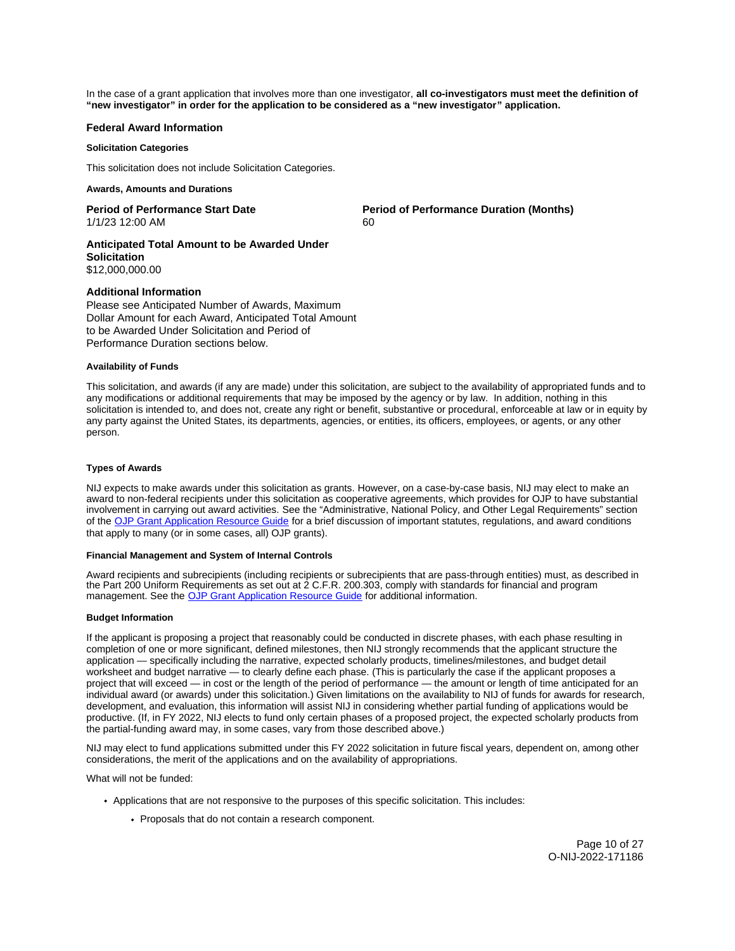<span id="page-9-0"></span>In the case of a grant application that involves more than one investigator, **all co-investigators must meet the definition of "new investigator" in order for the application to be considered as a "new investigator" application.** 

# **Federal Award Information**

### **Solicitation Categories**

This solicitation does not include Solicitation Categories.

# **Awards, Amounts and Durations**

1/1/23 12:00 AM 60

**Period of Performance Start Date**  Period of Performance Duration (Months)

**Anticipated Total Amount to be Awarded Under Solicitation**  \$12,000,000.00

# **Additional Information**

Please see Anticipated Number of Awards, Maximum Dollar Amount for each Award, Anticipated Total Amount to be Awarded Under Solicitation and Period of Performance Duration sections below.

#### **Availability of Funds**

This solicitation, and awards (if any are made) under this solicitation, are subject to the availability of appropriated funds and to any modifications or additional requirements that may be imposed by the agency or by law. In addition, nothing in this solicitation is intended to, and does not, create any right or benefit, substantive or procedural, enforceable at law or in equity by any party against the United States, its departments, agencies, or entities, its officers, employees, or agents, or any other person.

# **Types of Awards**

NIJ expects to make awards under this solicitation as grants. However, on a case-by-case basis, NIJ may elect to make an award to non-federal recipients under this solicitation as cooperative agreements, which provides for OJP to have substantial involvement in carrying out award activities. See the "Administrative, National Policy, and Other Legal Requirements" section of the [OJP Grant Application Resource Guide](https://www.ojp.gov/funding/apply/ojp-grant-application-resource-guide#administrative) for a brief discussion of important statutes, regulations, and award conditions that apply to many (or in some cases, all) OJP grants).

# **Financial Management and System of Internal Controls**

Award recipients and subrecipients (including recipients or subrecipients that are pass-through entities) must, as described in the Part 200 Uniform Requirements as set out at 2 C.F.R. 200.303, comply with standards for financial and program management. See the [OJP Grant Application Resource Guide](https://www.ojp.gov/funding/apply/ojp-grant-application-resource-guide#fm-internal-controls) for additional information.

#### **Budget Information**

If the applicant is proposing a project that reasonably could be conducted in discrete phases, with each phase resulting in completion of one or more significant, defined milestones, then NIJ strongly recommends that the applicant structure the application — specifically including the narrative, expected scholarly products, timelines/milestones, and budget detail worksheet and budget narrative — to clearly define each phase. (This is particularly the case if the applicant proposes a project that will exceed — in cost or the length of the period of performance — the amount or length of time anticipated for an individual award (or awards) under this solicitation.) Given limitations on the availability to NIJ of funds for awards for research, development, and evaluation, this information will assist NIJ in considering whether partial funding of applications would be productive. (If, in FY 2022, NIJ elects to fund only certain phases of a proposed project, the expected scholarly products from the partial-funding award may, in some cases, vary from those described above.)

NIJ may elect to fund applications submitted under this FY 2022 solicitation in future fiscal years, dependent on, among other considerations, the merit of the applications and on the availability of appropriations.

What will not be funded:

- Applications that are not responsive to the purposes of this specific solicitation. This includes:
	- Proposals that do not contain a research component.

Page 10 of 27 O-NIJ-2022-171186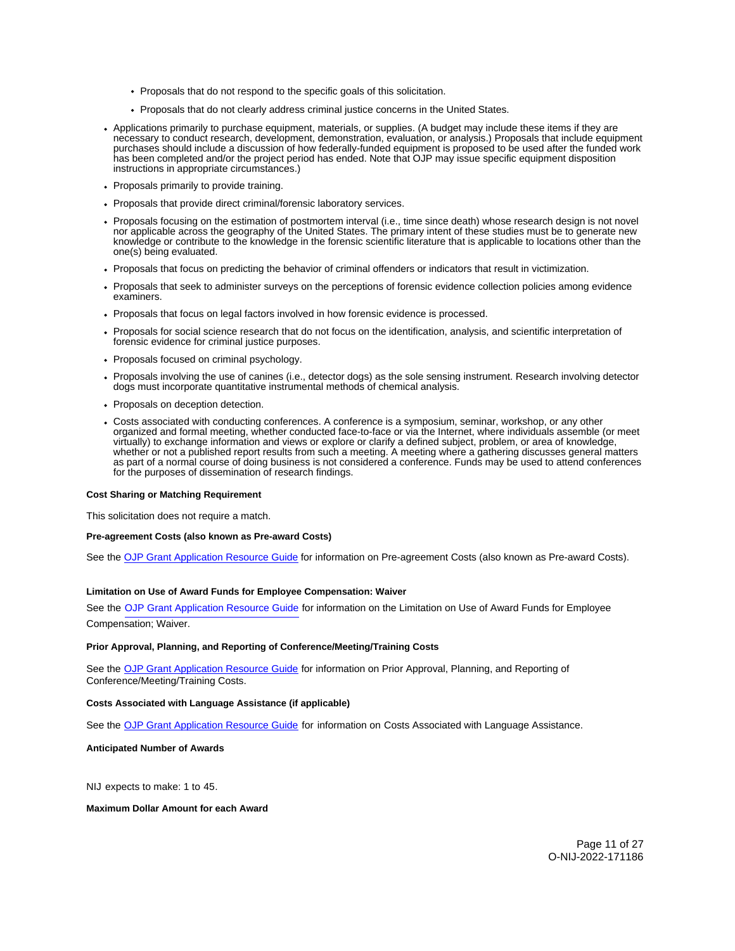- <span id="page-10-0"></span>• Proposals that do not respond to the specific goals of this solicitation.
- Proposals that do not clearly address criminal justice concerns in the United States.
- Applications primarily to purchase equipment, materials, or supplies. (A budget may include these items if they are necessary to conduct research, development, demonstration, evaluation, or analysis.) Proposals that include equipment purchases should include a discussion of how federally-funded equipment is proposed to be used after the funded work has been completed and/or the project period has ended. Note that OJP may issue specific equipment disposition instructions in appropriate circumstances.)
- Proposals primarily to provide training.
- Proposals that provide direct criminal/forensic laboratory services.
- Proposals focusing on the estimation of postmortem interval (i.e., time since death) whose research design is not novel nor applicable across the geography of the United States. The primary intent of these studies must be to generate new knowledge or contribute to the knowledge in the forensic scientific literature that is applicable to locations other than the one(s) being evaluated.
- Proposals that focus on predicting the behavior of criminal offenders or indicators that result in victimization.
- Proposals that seek to administer surveys on the perceptions of forensic evidence collection policies among evidence examiners.
- Proposals that focus on legal factors involved in how forensic evidence is processed.
- Proposals for social science research that do not focus on the identification, analysis, and scientific interpretation of forensic evidence for criminal justice purposes.
- Proposals focused on criminal psychology.
- Proposals involving the use of canines (i.e., detector dogs) as the sole sensing instrument. Research involving detector dogs must incorporate quantitative instrumental methods of chemical analysis.
- Proposals on deception detection.
- Costs associated with conducting conferences. A conference is a symposium, seminar, workshop, or any other organized and formal meeting, whether conducted face-to-face or via the Internet, where individuals assemble (or meet virtually) to exchange information and views or explore or clarify a defined subject, problem, or area of knowledge, whether or not a published report results from such a meeting. A meeting where a gathering discusses general matters as part of a normal course of doing business is not considered a conference. Funds may be used to attend conferences for the purposes of dissemination of research findings.

#### **Cost Sharing or Matching Requirement**

This solicitation does not require a match.

#### **Pre-agreement Costs (also known as Pre-award Costs)**

See the [OJP Grant Application Resource Guide f](https://www.ojp.gov/funding/apply/ojp-grant-application-resource-guide#pre-agreement-costs)or information on Pre-agreement Costs (also known as Pre-award Costs).

# **Limitation on Use of Award Funds for Employee Compensation: Waiver**

See the [OJP Grant Application Resource Guide f](https://www.ojp.gov/funding/apply/ojp-grant-application-resource-guide#limitation-use-award)or information on the Limitation on Use of Award Funds for Employee Compensation; Waiver.

#### **Prior Approval, Planning, and Reporting of Conference/Meeting/Training Costs**

See the [OJP Grant Application Resource Guide](https://www.ojp.gov/funding/apply/ojp-grant-application-resource-guide#prior-approval) for information on Prior Approval, Planning, and Reporting of Conference/Meeting/Training Costs.

# **Costs Associated with Language Assistance (if applicable)**

See the [OJP Grant Application Resource Guide](https://www.ojp.gov/funding/apply/ojp-grant-application-resource-guide#costs-associated) for information on Costs Associated with Language Assistance.

# **Anticipated Number of Awards**

NIJ expects to make: 1 to 45.

**Maximum Dollar Amount for each Award**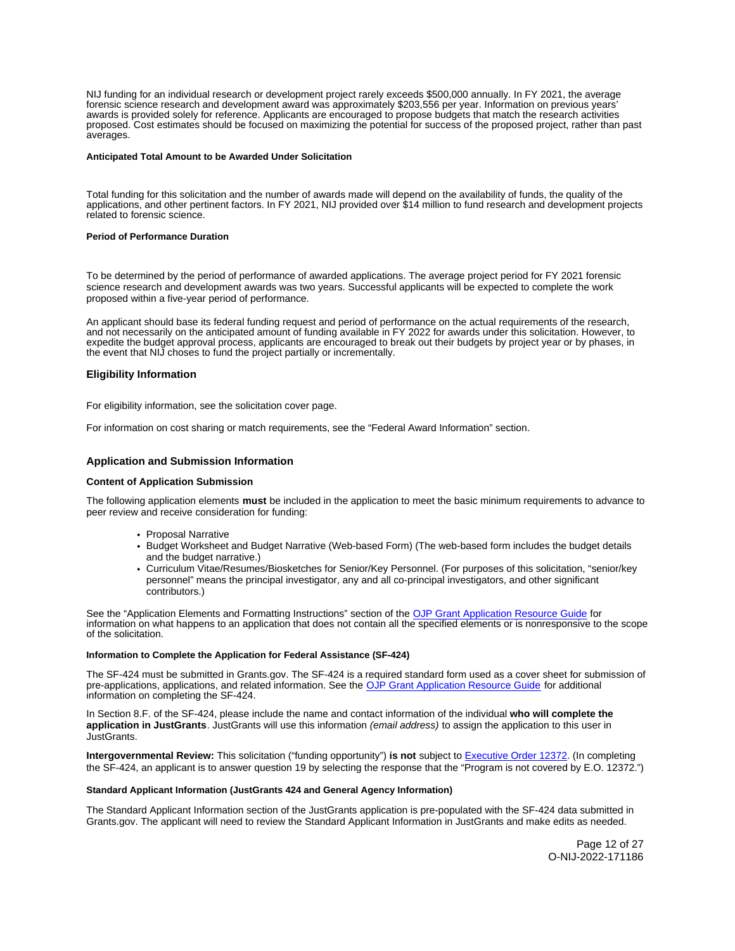<span id="page-11-0"></span>NIJ funding for an individual research or development project rarely exceeds \$500,000 annually. In FY 2021, the average forensic science research and development award was approximately \$203,556 per year. Information on previous years' awards is provided solely for reference. Applicants are encouraged to propose budgets that match the research activities proposed. Cost estimates should be focused on maximizing the potential for success of the proposed project, rather than past averages.

#### **Anticipated Total Amount to be Awarded Under Solicitation**

Total funding for this solicitation and the number of awards made will depend on the availability of funds, the quality of the applications, and other pertinent factors. In FY 2021, NIJ provided over \$14 million to fund research and development projects related to forensic science.

## **Period of Performance Duration**

To be determined by the period of performance of awarded applications. The average project period for FY 2021 forensic science research and development awards was two years. Successful applicants will be expected to complete the work proposed within a five-year period of performance.

An applicant should base its federal funding request and period of performance on the actual requirements of the research, and not necessarily on the anticipated amount of funding available in FY 2022 for awards under this solicitation. However, to expedite the budget approval process, applicants are encouraged to break out their budgets by project year or by phases, in the event that NIJ choses to fund the project partially or incrementally.

# **Eligibility Information**

For eligibility information, see the solicitation cover page.

For information on cost sharing or match requirements, see the "Federal Award Information" section.

# **Application and Submission Information**

#### **Content of Application Submission**

The following application elements **must** be included in the application to meet the basic minimum requirements to advance to peer review and receive consideration for funding:

- Proposal Narrative
- Budget Worksheet and Budget Narrative (Web-based Form) (The web-based form includes the budget details and the budget narrative.)
- Curriculum Vitae/Resumes/Biosketches for Senior/Key Personnel. (For purposes of this solicitation, "senior/key personnel" means the principal investigator, any and all co-principal investigators, and other significant contributors.)

See the "Application Elements and Formatting Instructions" section of the [OJP Grant Application Resource Guide](https://www.ojp.gov/funding/apply/ojp-grant-application-resource-guide#application-elements) for information on what happens to an application that does not contain all the specified elements or is nonresponsive to the scope of the solicitation.

#### **Information to Complete the Application for Federal Assistance (SF-424)**

The SF-424 must be submitted in [Grants.gov](https://Grants.gov). The SF-424 is a required standard form used as a cover sheet for submission of pre-applications, applications, and related information. See the OJP Grant Application Resource Guide</u> for additional information on completing the SF-424.

In Section 8.F. of the SF-424, please include the name and contact information of the individual **who will complete the application in JustGrants**. JustGrants will use this information (email address) to assign the application to this user in JustGrants.

**Intergovernmental Review:** This solicitation ("funding opportunity") **is not** subject to [Executive Order 12372.](https://www.archives.gov/federal-register/codification/executive-order/12372.html) (In completing the SF-424, an applicant is to answer question 19 by selecting the response that the "Program is not covered by E.O. 12372.")

#### **Standard Applicant Information (JustGrants 424 and General Agency Information)**

The Standard Applicant Information section of the JustGrants application is pre-populated with the SF-424 data submitted in [Grants.gov.](https://Grants.gov) The applicant will need to review the Standard Applicant Information in JustGrants and make edits as needed.

> Page 12 of 27 O-NIJ-2022-171186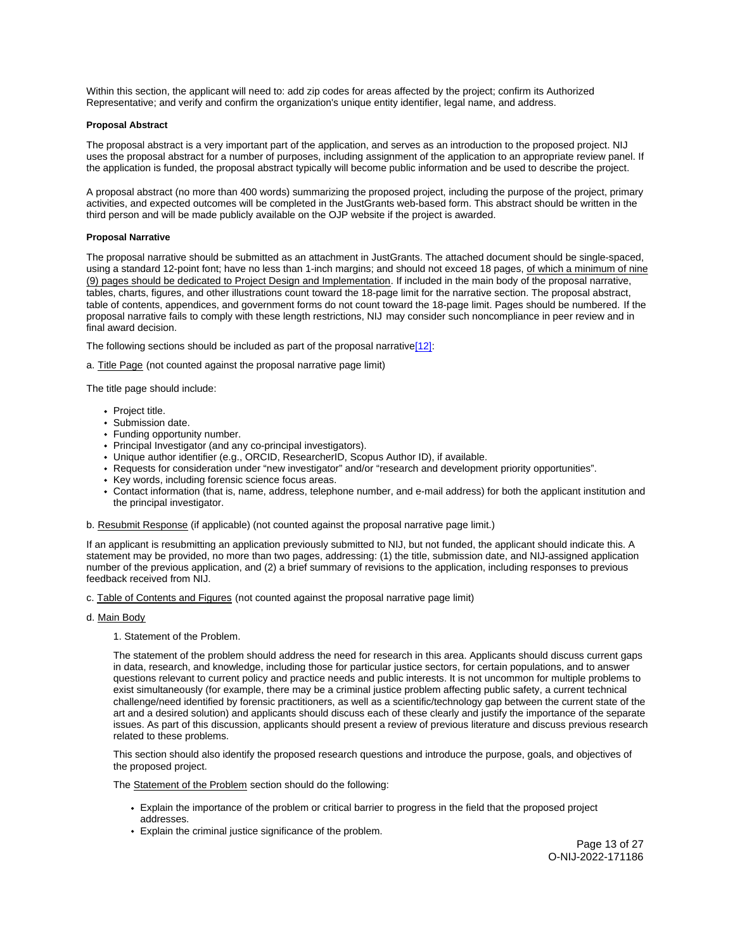<span id="page-12-0"></span>Within this section, the applicant will need to: add zip codes for areas affected by the project; confirm its Authorized Representative; and verify and confirm the organization's unique entity identifier, legal name, and address.

# **Proposal Abstract**

The proposal abstract is a very important part of the application, and serves as an introduction to the proposed project. NIJ uses the proposal abstract for a number of purposes, including assignment of the application to an appropriate review panel. If the application is funded, the proposal abstract typically will become public information and be used to describe the project.

A proposal abstract (no more than 400 words) summarizing the proposed project, including the purpose of the project, primary activities, and expected outcomes will be completed in the JustGrants web-based form. This abstract should be written in the third person and will be made publicly available on the OJP website if the project is awarded.

# **Proposal Narrative**

The proposal narrative should be submitted as an attachment in JustGrants. The attached document should be single-spaced, using a standard 12-point font; have no less than 1-inch margins; and should not exceed 18 pages, of which a minimum of nine (9) pages should be dedicated to Project Design and Implementation. If included in the main body of the proposal narrative, tables, charts, figures, and other illustrations count toward the 18-page limit for the narrative section. The proposal abstract, table of contents, appendices, and government forms do not count toward the 18-page limit. Pages should be numbered. If the proposal narrative fails to comply with these length restrictions, NIJ may consider such noncompliance in peer review and in final award decision.

The following sections should be included as part of the proposal narrative[\[12\]:](#_edn1)

a. Title Page (not counted against the proposal narrative page limit)

The title page should include:

- Project title.
- Submission date.
- Funding opportunity number.
- Principal Investigator (and any co-principal investigators).
- Unique author identifier (e.g., ORCID, ResearcherID, Scopus Author ID), if available.
- Requests for consideration under "new investigator" and/or "research and development priority opportunities".
- Key words, including forensic science focus areas.
- Contact information (that is, name, address, telephone number, and e-mail address) for both the applicant institution and the principal investigator.

b. Resubmit Response (if applicable) (not counted against the proposal narrative page limit.)

If an applicant is resubmitting an application previously submitted to NIJ, but not funded, the applicant should indicate this. A statement may be provided, no more than two pages, addressing: (1) the title, submission date, and NIJ-assigned application number of the previous application, and (2) a brief summary of revisions to the application, including responses to previous feedback received from NIJ.

c. Table of Contents and Figures (not counted against the proposal narrative page limit)

- d. Main Body
	- 1. Statement of the Problem.

The statement of the problem should address the need for research in this area. Applicants should discuss current gaps in data, research, and knowledge, including those for particular justice sectors, for certain populations, and to answer questions relevant to current policy and practice needs and public interests. It is not uncommon for multiple problems to exist simultaneously (for example, there may be a criminal justice problem affecting public safety, a current technical challenge/need identified by forensic practitioners, as well as a scientific/technology gap between the current state of the art and a desired solution) and applicants should discuss each of these clearly and justify the importance of the separate issues. As part of this discussion, applicants should present a review of previous literature and discuss previous research related to these problems.

This section should also identify the proposed research questions and introduce the purpose, goals, and objectives of the proposed project.

The Statement of the Problem section should do the following:

- Explain the importance of the problem or critical barrier to progress in the field that the proposed project addresses.
- Explain the criminal justice significance of the problem.

Page 13 of 27 O-NIJ-2022-171186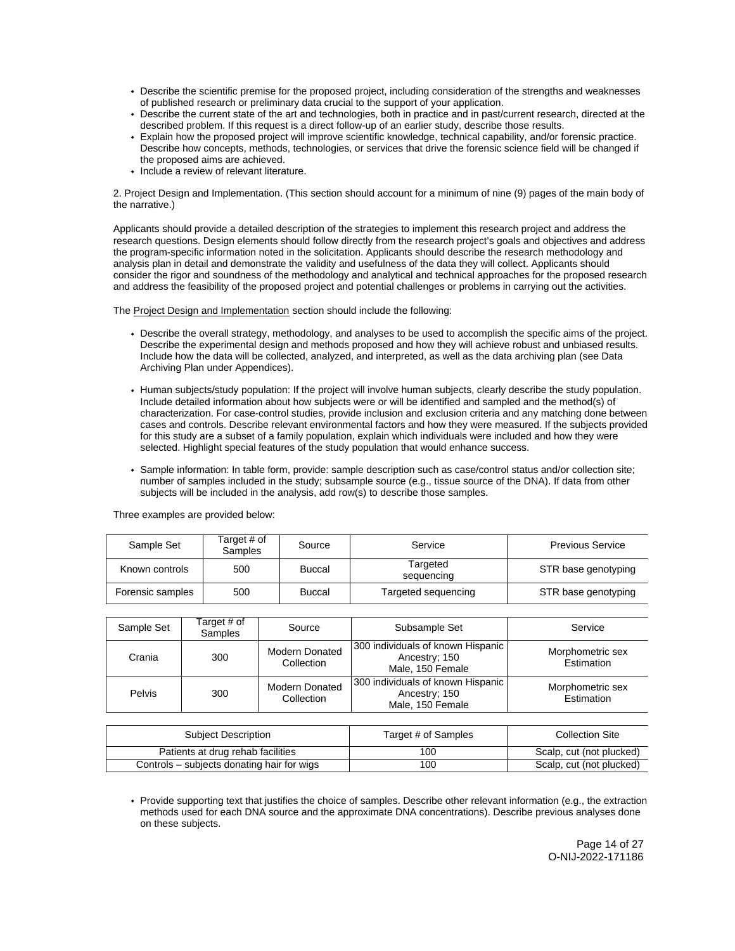- Describe the scientific premise for the proposed project, including consideration of the strengths and weaknesses of published research or preliminary data crucial to the support of your application.
- Describe the current state of the art and technologies, both in practice and in past/current research, directed at the described problem. If this request is a direct follow-up of an earlier study, describe those results.
- Explain how the proposed project will improve scientific knowledge, technical capability, and/or forensic practice. Describe how concepts, methods, technologies, or services that drive the forensic science field will be changed if the proposed aims are achieved.
- Include a review of relevant literature.

2. Project Design and Implementation. (This section should account for a minimum of nine (9) pages of the main body of the narrative.)

Applicants should provide a detailed description of the strategies to implement this research project and address the research questions. Design elements should follow directly from the research project's goals and objectives and address the program-specific information noted in the solicitation. Applicants should describe the research methodology and analysis plan in detail and demonstrate the validity and usefulness of the data they will collect. Applicants should consider the rigor and soundness of the methodology and analytical and technical approaches for the proposed research and address the feasibility of the proposed project and potential challenges or problems in carrying out the activities.

The Project Design and Implementation section should include the following:

- Describe the overall strategy, methodology, and analyses to be used to accomplish the specific aims of the project. Describe the experimental design and methods proposed and how they will achieve robust and unbiased results. Include how the data will be collected, analyzed, and interpreted, as well as the data archiving plan (see Data Archiving Plan under Appendices).
- Human subjects/study population: If the project will involve human subjects, clearly describe the study population. Include detailed information about how subjects were or will be identified and sampled and the method(s) of characterization. For case-control studies, provide inclusion and exclusion criteria and any matching done between cases and controls. Describe relevant environmental factors and how they were measured. If the subjects provided for this study are a subset of a family population, explain which individuals were included and how they were selected. Highlight special features of the study population that would enhance success.
- Sample information: In table form, provide: sample description such as case/control status and/or collection site; number of samples included in the study; subsample source (e.g., tissue source of the DNA). If data from other subjects will be included in the analysis, add row(s) to describe those samples.

| Sample Set       | Target # of<br><b>Samples</b> | Source        | Service                | <b>Previous Service</b> |
|------------------|-------------------------------|---------------|------------------------|-------------------------|
| Known controls   | 500                           | Buccal        | Targeted<br>sequencing | STR base genotyping     |
| Forensic samples | 500                           | <b>Buccal</b> | Targeted sequencing    | STR base genotyping     |

Three examples are provided below:

| Sample Set | Target # of<br>Samples | Source                              | Subsample Set                                                          | Service                        |
|------------|------------------------|-------------------------------------|------------------------------------------------------------------------|--------------------------------|
| Crania     | 300                    | <b>Modern Donated</b><br>Collection | 300 individuals of known Hispanic<br>Ancestry; 150<br>Male, 150 Female | Morphometric sex<br>Estimation |
| Pelvis     | 300                    | <b>Modern Donated</b><br>Collection | 300 individuals of known Hispanic<br>Ancestry; 150<br>Male, 150 Female | Morphometric sex<br>Estimation |

| Subject Description                        | Target # of Samples | <b>Collection Site</b>   |
|--------------------------------------------|---------------------|--------------------------|
| Patients at drug rehab facilities          | 100                 | Scalp, cut (not plucked) |
| Controls – subjects donating hair for wigs | 100                 | Scalp, cut (not plucked) |

Provide supporting text that justifies the choice of samples. Describe other relevant information (e.g., the extraction methods used for each DNA source and the approximate DNA concentrations). Describe previous analyses done on these subjects.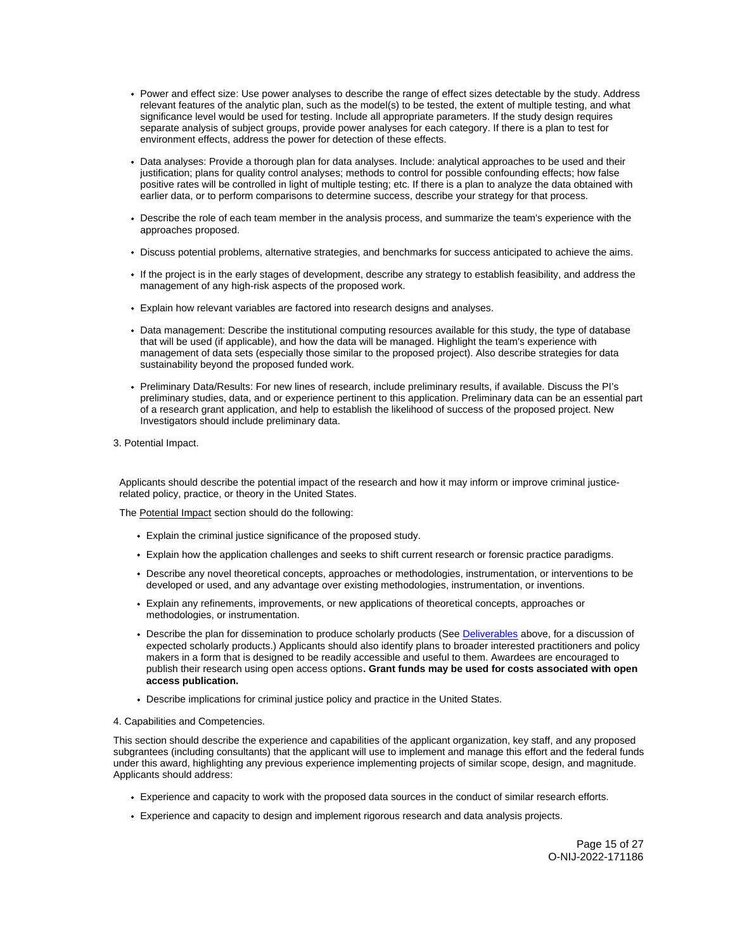- Power and effect size: Use power analyses to describe the range of effect sizes detectable by the study. Address relevant features of the analytic plan, such as the model(s) to be tested, the extent of multiple testing, and what significance level would be used for testing. Include all appropriate parameters. If the study design requires separate analysis of subject groups, provide power analyses for each category. If there is a plan to test for environment effects, address the power for detection of these effects.
- Data analyses: Provide a thorough plan for data analyses. Include: analytical approaches to be used and their justification; plans for quality control analyses; methods to control for possible confounding effects; how false positive rates will be controlled in light of multiple testing; etc. If there is a plan to analyze the data obtained with earlier data, or to perform comparisons to determine success, describe your strategy for that process.
- Describe the role of each team member in the analysis process, and summarize the team's experience with the approaches proposed.
- Discuss potential problems, alternative strategies, and benchmarks for success anticipated to achieve the aims.
- If the project is in the early stages of development, describe any strategy to establish feasibility, and address the management of any high-risk aspects of the proposed work.
- Explain how relevant variables are factored into research designs and analyses.
- Data management: Describe the institutional computing resources available for this study, the type of database that will be used (if applicable), and how the data will be managed. Highlight the team's experience with management of data sets (especially those similar to the proposed project). Also describe strategies for data sustainability beyond the proposed funded work.
- Preliminary Data/Results: For new lines of research, include preliminary results, if available. Discuss the PI's preliminary studies, data, and or experience pertinent to this application. Preliminary data can be an essential part of a research grant application, and help to establish the likelihood of success of the proposed project. New Investigators should include preliminary data.
- 3. Potential Impact.

Applicants should describe the potential impact of the research and how it may inform or improve criminal justicerelated policy, practice, or theory in the United States.

The Potential Impact section should do the following:

- Explain the criminal justice significance of the proposed study.
- Explain how the application challenges and seeks to shift current research or forensic practice paradigms.
- Describe any novel theoretical concepts, approaches or methodologies, instrumentation, or interventions to be developed or used, and any advantage over existing methodologies, instrumentation, or inventions.
- Explain any refinements, improvements, or new applications of theoretical concepts, approaches or methodologies, or instrumentation.
- Describe the plan for dissemination to produce scholarly products (See [Deliverables](#_Goals,_Objectives,_and) above, for a discussion of expected scholarly products.) Applicants should also identify plans to broader interested practitioners and policy makers in a form that is designed to be readily accessible and useful to them. Awardees are encouraged to publish their research using open access options**. Grant funds may be used for costs associated with open access publication.**
- Describe implications for criminal justice policy and practice in the United States.

# 4. Capabilities and Competencies.

This section should describe the experience and capabilities of the applicant organization, key staff, and any proposed subgrantees (including consultants) that the applicant will use to implement and manage this effort and the federal funds under this award, highlighting any previous experience implementing projects of similar scope, design, and magnitude. Applicants should address:

- Experience and capacity to work with the proposed data sources in the conduct of similar research efforts.
- Experience and capacity to design and implement rigorous research and data analysis projects.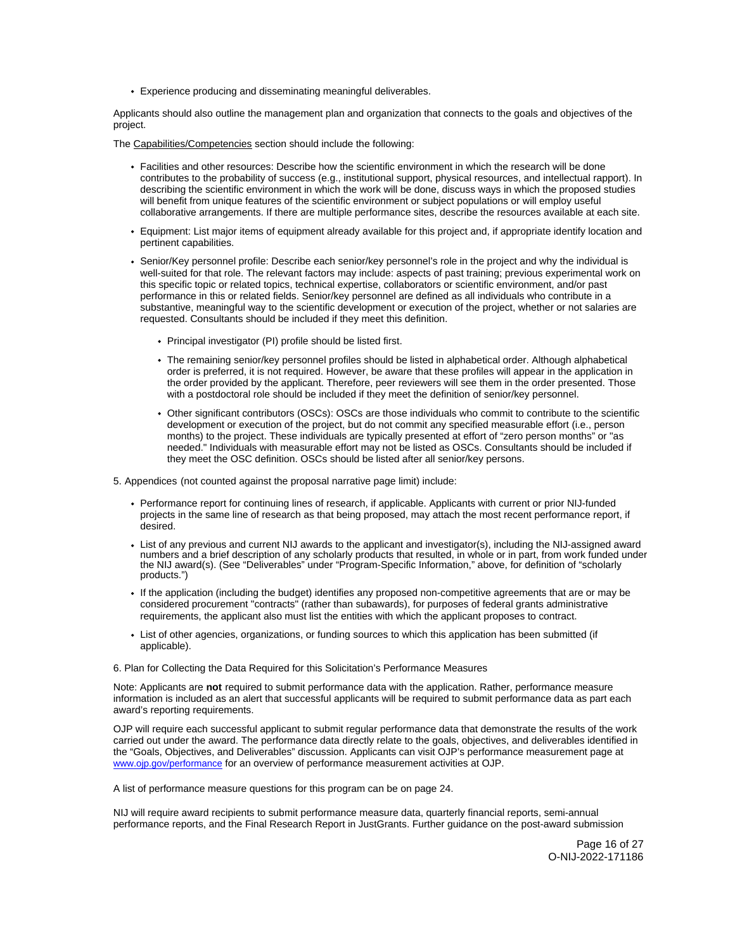Experience producing and disseminating meaningful deliverables.

Applicants should also outline the management plan and organization that connects to the goals and objectives of the project.

The Capabilities/Competencies section should include the following:

- Facilities and other resources: Describe how the scientific environment in which the research will be done contributes to the probability of success (e.g., institutional support, physical resources, and intellectual rapport). In describing the scientific environment in which the work will be done, discuss ways in which the proposed studies will benefit from unique features of the scientific environment or subject populations or will employ useful collaborative arrangements. If there are multiple performance sites, describe the resources available at each site.
- Equipment: List major items of equipment already available for this project and, if appropriate identify location and pertinent capabilities.
- Senior/Key personnel profile: Describe each senior/key personnel's role in the project and why the individual is well-suited for that role. The relevant factors may include: aspects of past training; previous experimental work on this specific topic or related topics, technical expertise, collaborators or scientific environment, and/or past performance in this or related fields. Senior/key personnel are defined as all individuals who contribute in a substantive, meaningful way to the scientific development or execution of the project, whether or not salaries are requested. Consultants should be included if they meet this definition.
	- Principal investigator (PI) profile should be listed first.
	- The remaining senior/key personnel profiles should be listed in alphabetical order. Although alphabetical order is preferred, it is not required. However, be aware that these profiles will appear in the application in the order provided by the applicant. Therefore, peer reviewers will see them in the order presented. Those with a postdoctoral role should be included if they meet the definition of senior/key personnel.
	- Other significant contributors (OSCs): OSCs are those individuals who commit to contribute to the scientific development or execution of the project, but do not commit any specified measurable effort (i.e., person months) to the project. These individuals are typically presented at effort of "zero person months" or "as needed." Individuals with measurable effort may not be listed as OSCs. Consultants should be included if they meet the OSC definition. OSCs should be listed after all senior/key persons.

5. Appendices (not counted against the proposal narrative page limit) include:

- Performance report for continuing lines of research, if applicable. Applicants with current or prior NIJ-funded projects in the same line of research as that being proposed, may attach the most recent performance report, if desired.
- List of any previous and current NIJ awards to the applicant and investigator(s), including the NIJ-assigned award numbers and a brief description of any scholarly products that resulted, in whole or in part, from work funded under the NIJ award(s). (See "Deliverables" under "Program-Specific Information," above, for definition of "scholarly products.")
- If the application (including the budget) identifies any proposed non-competitive agreements that are or may be considered procurement "contracts" (rather than subawards), for purposes of federal grants administrative requirements, the applicant also must list the entities with which the applicant proposes to contract.
- List of other agencies, organizations, or funding sources to which this application has been submitted (if applicable).

## 6. Plan for Collecting the Data Required for this Solicitation's Performance Measures

Note: Applicants are **not** required to submit performance data with the application. Rather, performance measure information is included as an alert that successful applicants will be required to submit performance data as part each award's reporting requirements.

OJP will require each successful applicant to submit regular performance data that demonstrate the results of the work carried out under the award. The performance data directly relate to the goals, objectives, and deliverables identified in the "Goals, Objectives, and Deliverables" discussion. Applicants can visit OJP's performance measurement page at [www.ojp.gov/performance](https://www.ojp.gov/performance) for an overview of performance measurement activities at OJP.

A list of performance measure questions for this program can be on page 24.

NIJ will require award recipients to submit performance measure data, quarterly financial reports, semi-annual performance reports, and the Final Research Report in JustGrants. Further guidance on the post-award submission

> Page 16 of 27 O-NIJ-2022-171186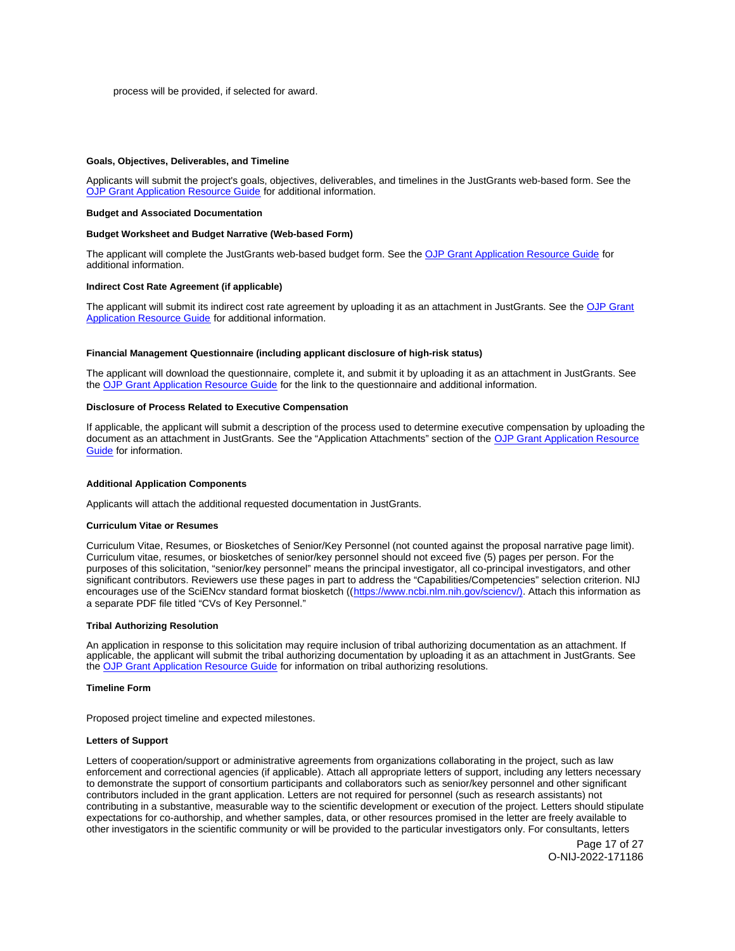### <span id="page-16-0"></span>**Goals, Objectives, Deliverables, and Timeline**

Applicants will submit the project's goals, objectives, deliverables, and timelines in the JustGrants web-based form. See the [OJP Grant Application Resource Guide](https://www.ojp.gov/funding/apply/ojp-grant-application-resource-guide) for additional information.

#### **Budget and Associated Documentation**

# **Budget Worksheet and Budget Narrative (Web-based Form)**

The applicant will complete the JustGrants web-based budget form. See the [OJP Grant Application Resource Guide](https://www.ojp.gov/funding/apply/ojp-grant-application-resource-guide#budget-prep) for additional information.

# **Indirect Cost Rate Agreement (if applicable)**

The applicant will submit its indirect cost rate agreement by uploading it as an attachment in JustGrants. See the [OJP Grant](https://www.ojp.gov/funding/apply/ojp-grant-application-resource-guide#indirect-cost)  [Application Resource Guide](https://www.ojp.gov/funding/apply/ojp-grant-application-resource-guide#indirect-cost) for additional information.

#### **Financial Management Questionnaire (including applicant disclosure of high-risk status)**

The applicant will download the questionnaire, complete it, and submit it by uploading it as an attachment in JustGrants. See the [OJP Grant Application Resource Guide](https://www.ojp.gov/funding/apply/ojp-grant-application-resource-guide#fm-internal-controls-questionnaire) for the link to the questionnaire and additional information.

# **Disclosure of Process Related to Executive Compensation**

If applicable, the applicant will submit a description of the process used to determine executive compensation by uploading the document as an attachment in JustGrants. See the "Application Attachments" section of the [OJP Grant Application Resource](https://www.ojp.gov/funding/apply/ojp-grant-application-resource-guide#disclosure-process-executive)  [Guide](https://www.ojp.gov/funding/apply/ojp-grant-application-resource-guide#disclosure-process-executive) for information.

#### **Additional Application Components**

Applicants will attach the additional requested documentation in JustGrants.

# **Curriculum Vitae or Resumes**

Curriculum Vitae, Resumes, or Biosketches of Senior/Key Personnel (not counted against the proposal narrative page limit). Curriculum vitae, resumes, or biosketches of senior/key personnel should not exceed five (5) pages per person. For the purposes of this solicitation, "senior/key personnel" means the principal investigator, all co-principal investigators, and other significant contributors. Reviewers use these pages in part to address the "Capabilities/Competencies" selection criterion. NIJ encourages use of the SciENcv standard format biosketch (([https://www.ncbi.nlm.nih.gov/sciencv/\)](https://www.ncbi.nlm.nih.gov/sciencv/). Attach this information as a separate PDF file titled "CVs of Key Personnel."

## **Tribal Authorizing Resolution**

An application in response to this solicitation may require inclusion of tribal authorizing documentation as an attachment. If applicable, the applicant will submit the tribal authorizing documentation by uploading it as an attachment in JustGrants. See the [OJP Grant Application Resource Guide](https://www.ojp.gov/funding/apply/ojp-grant-application-resource-guide#tribal-authorizing-resolution) for information on tribal authorizing resolutions.

# **Timeline Form**

Proposed project timeline and expected milestones.

### **Letters of Support**

Letters of cooperation/support or administrative agreements from organizations collaborating in the project, such as law enforcement and correctional agencies (if applicable). Attach all appropriate letters of support, including any letters necessary to demonstrate the support of consortium participants and collaborators such as senior/key personnel and other significant contributors included in the grant application. Letters are not required for personnel (such as research assistants) not contributing in a substantive, measurable way to the scientific development or execution of the project. Letters should stipulate expectations for co-authorship, and whether samples, data, or other resources promised in the letter are freely available to other investigators in the scientific community or will be provided to the particular investigators only. For consultants, letters

> Page 17 of 27 O-NIJ-2022-171186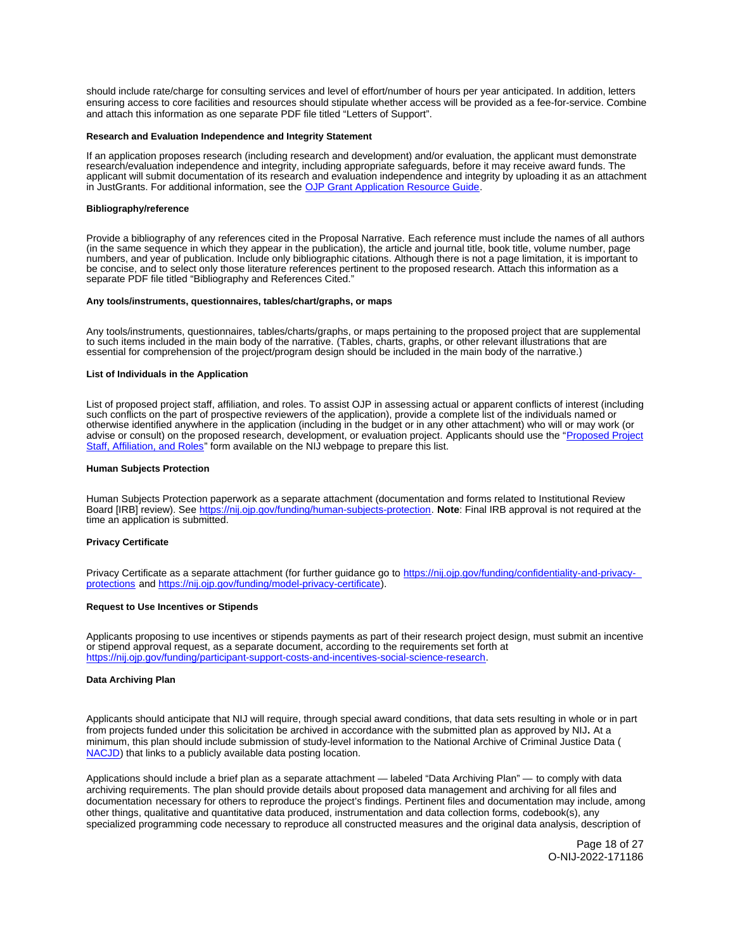<span id="page-17-0"></span>should include rate/charge for consulting services and level of effort/number of hours per year anticipated. In addition, letters ensuring access to core facilities and resources should stipulate whether access will be provided as a fee-for-service. Combine and attach this information as one separate PDF file titled "Letters of Support".

#### **Research and Evaluation Independence and Integrity Statement**

If an application proposes research (including research and development) and/or evaluation, the applicant must demonstrate research/evaluation independence and integrity, including appropriate safeguards, before it may receive award funds. The applicant will submit documentation of its research and evaluation independence and integrity by uploading it as an attachment in JustGrants. For additional information, see the [OJP Grant Application Resource Guide.](https://www.ojp.gov/funding/apply/ojp-grant-application-resource-guide#research-evaluation)

#### **Bibliography/reference**

Provide a bibliography of any references cited in the Proposal Narrative. Each reference must include the names of all authors (in the same sequence in which they appear in the publication), the article and journal title, book title, volume number, page numbers, and year of publication. Include only bibliographic citations. Although there is not a page limitation, it is important to be concise, and to select only those literature references pertinent to the proposed research. Attach this information as a separate PDF file titled "Bibliography and References Cited."

#### **Any tools/instruments, questionnaires, tables/chart/graphs, or maps**

Any tools/instruments, questionnaires, tables/charts/graphs, or maps pertaining to the proposed project that are supplemental to such items included in the main body of the narrative. (Tables, charts, graphs, or other relevant illustrations that are essential for comprehension of the project/program design should be included in the main body of the narrative.)

#### **List of Individuals in the Application**

List of proposed project staff, affiliation, and roles. To assist OJP in assessing actual or apparent conflicts of interest (including such conflicts on the part of prospective reviewers of the application), provide a complete list of the individuals named or otherwise identified anywhere in the application (including in the budget or in any other attachment) who will or may work (or advise or consult) on the proposed research, development, or evaluation project. Applicants should use the "Proposed Project [Staff, Affiliation, and Roles"](http://nij.ojp.gov/sites/g/files/xyckuh171/files/media/document/nij-project-staff-template.xlsx) form available on the NIJ webpage to prepare this list.

#### **Human Subjects Protection**

Human Subjects Protection paperwork as a separate attachment (documentation and forms related to Institutional Review Board [IRB] review). See [https://nij.ojp.gov/funding/human-subjects-protection.](https://nij.ojp.gov/funding/human-subjects-protection) **Note**: Final IRB approval is not required at the time an application is submitted.

#### **Privacy Certificate**

Privacy Certificate as a separate attachment (for further guidance go to [https://nij.ojp.gov/funding/confidentiality-and-privacy](https://nij.ojp.gov/funding/confidentiality-and-privacy-protections)[protections](https://nij.ojp.gov/funding/confidentiality-and-privacy-protections) and [https://nij.ojp.gov/funding/model-privacy-certificate\)](https://nij.ojp.gov/funding/model-privacy-certificate).

# **Request to Use Incentives or Stipends**

Applicants proposing to use incentives or stipends payments as part of their research project design, must submit an incentive or stipend approval request, as a separate document, according to the requirements set forth at [https://nij.ojp.gov/funding/participant-support-costs-and-incentives-social-science-research.](https://nij.ojp.gov/funding/participant-support-costs-and-incentives-social-science-research)

#### **Data Archiving Plan**

Applicants should anticipate that NIJ will require, through special award conditions, that data sets resulting in whole or in part from projects funded under this solicitation be archived in accordance with the submitted plan as approved by NIJ**.** At a minimum, this plan should include submission of study-level information to the National Archive of Criminal Justice Data ( [NACJD\)](https://www.icpsr.umich.edu/web/pages/NACJD/share-data.html) that links to a publicly available data posting location.

Applications should include a brief plan as a separate attachment — labeled "Data Archiving Plan" — to comply with data archiving requirements. The plan should provide details about proposed data management and archiving for all files and documentation necessary for others to reproduce the project's findings. Pertinent files and documentation may include, among other things, qualitative and quantitative data produced, instrumentation and data collection forms, codebook(s), any specialized programming code necessary to reproduce all constructed measures and the original data analysis, description of

> Page 18 of 27 O-NIJ-2022-171186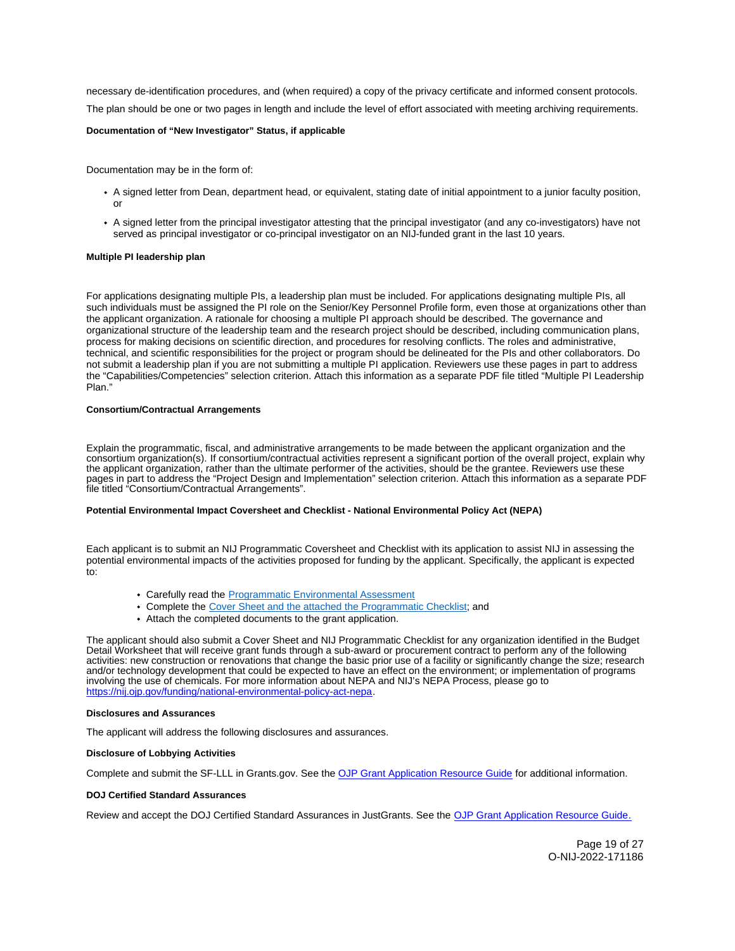<span id="page-18-0"></span>necessary de-identification procedures, and (when required) a copy of the privacy certificate and informed consent protocols. The plan should be one or two pages in length and include the level of effort associated with meeting archiving requirements.

# **Documentation of "New Investigator" Status, if applicable**

Documentation may be in the form of:

- A signed letter from Dean, department head, or equivalent, stating date of initial appointment to a junior faculty position, or
- A signed letter from the principal investigator attesting that the principal investigator (and any co-investigators) have not served as principal investigator or co-principal investigator on an NIJ-funded grant in the last 10 years.

# **Multiple PI leadership plan**

For applications designating multiple PIs, a leadership plan must be included. For applications designating multiple PIs, all such individuals must be assigned the PI role on the Senior/Key Personnel Profile form, even those at organizations other than the applicant organization. A rationale for choosing a multiple PI approach should be described. The governance and organizational structure of the leadership team and the research project should be described, including communication plans, process for making decisions on scientific direction, and procedures for resolving conflicts. The roles and administrative, technical, and scientific responsibilities for the project or program should be delineated for the PIs and other collaborators. Do not submit a leadership plan if you are not submitting a multiple PI application. Reviewers use these pages in part to address the "Capabilities/Competencies" selection criterion. Attach this information as a separate PDF file titled "Multiple PI Leadership Plan."

# **Consortium/Contractual Arrangements**

Explain the programmatic, fiscal, and administrative arrangements to be made between the applicant organization and the consortium organization(s). If consortium/contractual activities represent a significant portion of the overall project, explain why the applicant organization, rather than the ultimate performer of the activities, should be the grantee. Reviewers use these pages in part to address the "Project Design and Implementation" selection criterion. Attach this information as a separate PDF file titled "Consortium/Contractual Arrangements".

# **Potential Environmental Impact Coversheet and Checklist - National Environmental Policy Act (NEPA)**

Each applicant is to submit an NIJ Programmatic Coversheet and Checklist with its application to assist NIJ in assessing the potential environmental impacts of the activities proposed for funding by the applicant. Specifically, the applicant is expected to:

- Carefully read the **Programmatic Environmental Assessment**
- Complete the [Cover Sheet and the attached the Programmatic Checklist;](https://nij.gov/funding/Documents/nij-grant-program-checklist-nepa.pdf) and
- Attach the completed documents to the grant application.

The applicant should also submit a Cover Sheet and NIJ Programmatic Checklist for any organization identified in the Budget Detail Worksheet that will receive grant funds through a sub-award or procurement contract to perform any of the following activities: new construction or renovations that change the basic prior use of a facility or significantly change the size; research and/or technology development that could be expected to have an effect on the environment; or implementation of programs involving the use of chemicals. For more information about NEPA and NIJ's NEPA Process, please go to [https://nij.ojp.gov/funding/national-environmental-policy-act-nepa.](https://nij.ojp.gov/funding/national-environmental-policy-act-nepa)

# **Disclosures and Assurances**

The applicant will address the following disclosures and assurances.

# **Disclosure of Lobbying Activities**

Complete and submit the SF-LLL in [Grants.gov](https://Grants.gov). See the [OJP Grant Application Resource Guide](https://www.ojp.gov/funding/apply/ojp-grant-application-resource-guide#disclosure-lobby) for additional information.

# **DOJ Certified Standard Assurances**

Review and accept the DOJ Certified Standard Assurances in JustGrants. See the [OJP Grant Application Resource Guide.](https://www.ojp.gov/funding/apply/ojp-grant-application-resource-guide#administrative)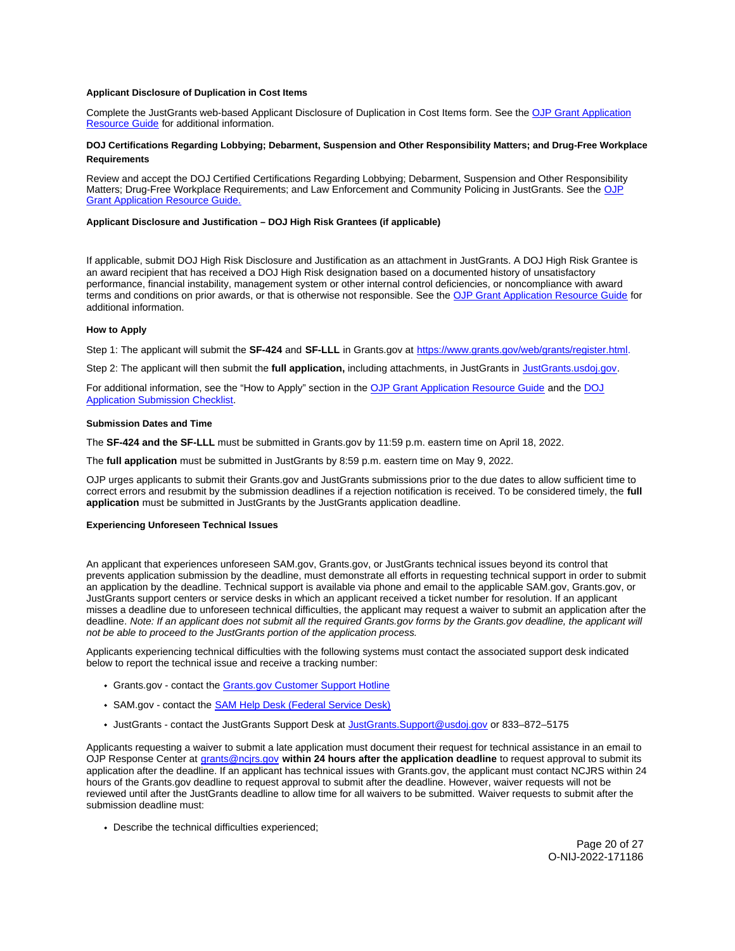# <span id="page-19-0"></span>**Applicant Disclosure of Duplication in Cost Items**

Complete the JustGrants web-based Applicant Disclosure of Duplication in Cost Items form. See the [OJP Grant Application](https://www.ojp.gov/funding/apply/ojp-grant-application-resource-guide#applicant-disclosure-pending-applications)  [Resource Guide](https://www.ojp.gov/funding/apply/ojp-grant-application-resource-guide#applicant-disclosure-pending-applications) for additional information.

# **DOJ Certifications Regarding Lobbying; Debarment, Suspension and Other Responsibility Matters; and Drug-Free Workplace Requirements**

Review and accept the DOJ Certified Certifications Regarding Lobbying; Debarment, Suspension and Other Responsibility Matters; Drug-Free Workplace Requirements; and Law Enforcement and Community Policing in JustGrants. See the [OJP](https://www.ojp.gov/funding/apply/ojp-grant-application-resource-guide#administrative)  [Grant Application Resource Guide.](https://www.ojp.gov/funding/apply/ojp-grant-application-resource-guide#administrative) 

# **Applicant Disclosure and Justification – DOJ High Risk Grantees (if applicable)**

If applicable, submit DOJ High Risk Disclosure and Justification as an attachment in JustGrants. A DOJ High Risk Grantee is an award recipient that has received a DOJ High Risk designation based on a documented history of unsatisfactory performance, financial instability, management system or other internal control deficiencies, or noncompliance with award terms and conditions on prior awards, or that is otherwise not responsible. See the [OJP Grant Application Resource Guide](https://www.ojp.gov/funding/apply/ojp-grant-application-resource-guide#applicant-disclosure-justification) for additional information.

# **How to Apply**

Step 1: The applicant will submit the **SF-424** and **SF-LLL** in [Grants.gov](https://Grants.gov) at [https://www.grants.gov/web/grants/register.html.](https://www.grants.gov/web/grants/register.html)

Step 2: The applicant will then submit the **full application,** including attachments, in JustGrants in [JustGrants.usdoj.gov.](https://justicegrants.usdoj.gov/) 

For additional information, see the "How to Apply" section in the [OJP Grant Application Resource Guide](https://www.ojp.gov/funding/apply/ojp-grant-application-resource-guide#apply) and the [DOJ](https://justicegrants.usdoj.gov/sites/g/files/xyckuh296/files/media/document/appln-submission-checklist.pdf) [Application Submission Checklist.](https://justicegrants.usdoj.gov/sites/g/files/xyckuh296/files/media/document/appln-submission-checklist.pdf) 

# **Submission Dates and Time**

The **SF-424 and the SF-LLL** must be submitted in [Grants.gov](https://Grants.gov) by 11:59 p.m. eastern time on April 18, 2022.

The **full application** must be submitted in JustGrants by 8:59 p.m. eastern time on May 9, 2022.

OJP urges applicants to submit their [Grants.gov](https://Grants.gov) and JustGrants submissions prior to the due dates to allow sufficient time to correct errors and resubmit by the submission deadlines if a rejection notification is received. To be considered timely, the **full application** must be submitted in JustGrants by the JustGrants application deadline.

# **Experiencing Unforeseen Technical Issues**

An applicant that experiences unforeseen SAM.gov, [Grants.gov,](https://Grants.gov) or JustGrants technical issues beyond its control that prevents application submission by the deadline, must demonstrate all efforts in requesting technical support in order to submit an application by the deadline. Technical support is available via phone and email to the applicable SAM.gov, [Grants.gov,](https://Grants.gov) or JustGrants support centers or service desks in which an applicant received a ticket number for resolution. If an applicant misses a deadline due to unforeseen technical difficulties, the applicant may request a waiver to submit an application after the deadline. Note: If an applicant does not submit all the required [Grants.gov](https://Grants.gov) forms by the [Grants.gov](https://Grants.gov) deadline, the applicant will not be able to proceed to the JustGrants portion of the application process.

Applicants experiencing technical difficulties with the following systems must contact the associated support desk indicated below to report the technical issue and receive a tracking number:

- [Grants.gov](https://Grants.gov) contact the [Grants.gov Customer Support Hotline](https://www.grants.gov/web/grants/support.html)
- SAM.gov contact the **SAM Help Desk (Federal Service Desk)**
- JustGrants contact the JustGrants Support Desk at [JustGrants.Support@usdoj.gov](mailto:JustGrants.Support@usdoj.gov) or 833–872–5175

Applicants requesting a waiver to submit a late application must document their request for technical assistance in an email to OJP Response Center at [grants@ncjrs.gov](file:///C:/Users/local_Yehj/INetCache/Content.Outlook/20U4XBR7/grants@ncjrs.gov) **within 24 hours after the application deadline** to request approval to submit its application after the deadline. If an applicant has technical issues with [Grants.gov](https://Grants.gov), the applicant must contact NCJRS within 24 hours of the [Grants.gov](https://Grants.gov) deadline to request approval to submit after the deadline. However, waiver requests will not be reviewed until after the JustGrants deadline to allow time for all waivers to be submitted. Waiver requests to submit after the submission deadline must:

Describe the technical difficulties experienced;

Page 20 of 27 O-NIJ-2022-171186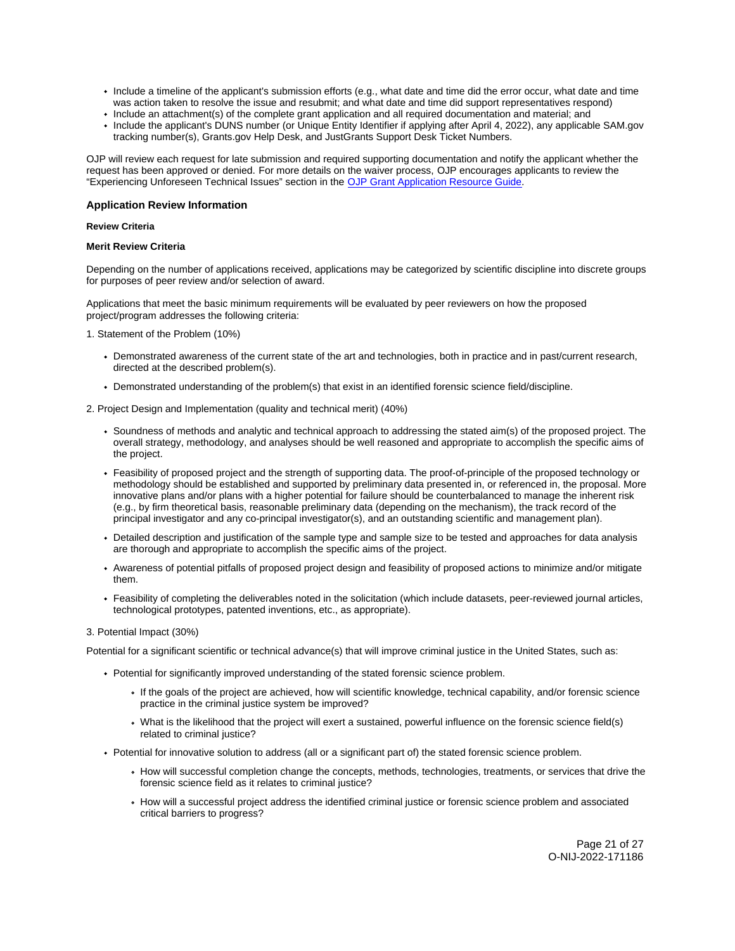- <span id="page-20-0"></span>Include a timeline of the applicant's submission efforts (e.g., what date and time did the error occur, what date and time was action taken to resolve the issue and resubmit; and what date and time did support representatives respond)
- Include an attachment(s) of the complete grant application and all required documentation and material; and
- Include the applicant's DUNS number (or Unique Entity Identifier if applying after April 4, 2022), any applicable SAM.gov tracking number(s), [Grants.gov](https://Grants.gov) Help Desk, and JustGrants Support Desk Ticket Numbers.

OJP will review each request for late submission and required supporting documentation and notify the applicant whether the request has been approved or denied. For more details on the waiver process, OJP encourages applicants to review the "Experiencing Unforeseen Technical Issues" section in the [OJP Grant Application Resource Guide](https://www.ojp.gov/funding/apply/ojp-grant-application-resource-guide#experiencing-unforeseen-technical-issues).

# **Application Review Information**

# **Review Criteria**

# **Merit Review Criteria**

Depending on the number of applications received, applications may be categorized by scientific discipline into discrete groups for purposes of peer review and/or selection of award.

Applications that meet the basic minimum requirements will be evaluated by peer reviewers on how the proposed project/program addresses the following criteria:

1. Statement of the Problem (10%)

- Demonstrated awareness of the current state of the art and technologies, both in practice and in past/current research, directed at the described problem(s).
- Demonstrated understanding of the problem(s) that exist in an identified forensic science field/discipline.
- 2. Project Design and Implementation (quality and technical merit) (40%)
	- Soundness of methods and analytic and technical approach to addressing the stated aim(s) of the proposed project. The overall strategy, methodology, and analyses should be well reasoned and appropriate to accomplish the specific aims of the project.
	- Feasibility of proposed project and the strength of supporting data. The proof-of-principle of the proposed technology or methodology should be established and supported by preliminary data presented in, or referenced in, the proposal. More innovative plans and/or plans with a higher potential for failure should be counterbalanced to manage the inherent risk (e.g., by firm theoretical basis, reasonable preliminary data (depending on the mechanism), the track record of the principal investigator and any co-principal investigator(s), and an outstanding scientific and management plan).
	- Detailed description and justification of the sample type and sample size to be tested and approaches for data analysis are thorough and appropriate to accomplish the specific aims of the project.
	- Awareness of potential pitfalls of proposed project design and feasibility of proposed actions to minimize and/or mitigate them.
	- Feasibility of completing the deliverables noted in the solicitation (which include datasets, peer-reviewed journal articles, technological prototypes, patented inventions, etc., as appropriate).

# 3. Potential Impact (30%)

Potential for a significant scientific or technical advance(s) that will improve criminal justice in the United States, such as:

- Potential for significantly improved understanding of the stated forensic science problem.
	- If the goals of the project are achieved, how will scientific knowledge, technical capability, and/or forensic science practice in the criminal justice system be improved?
	- What is the likelihood that the project will exert a sustained, powerful influence on the forensic science field(s) related to criminal justice?
- Potential for innovative solution to address (all or a significant part of) the stated forensic science problem.
	- How will successful completion change the concepts, methods, technologies, treatments, or services that drive the forensic science field as it relates to criminal justice?
	- How will a successful project address the identified criminal justice or forensic science problem and associated critical barriers to progress?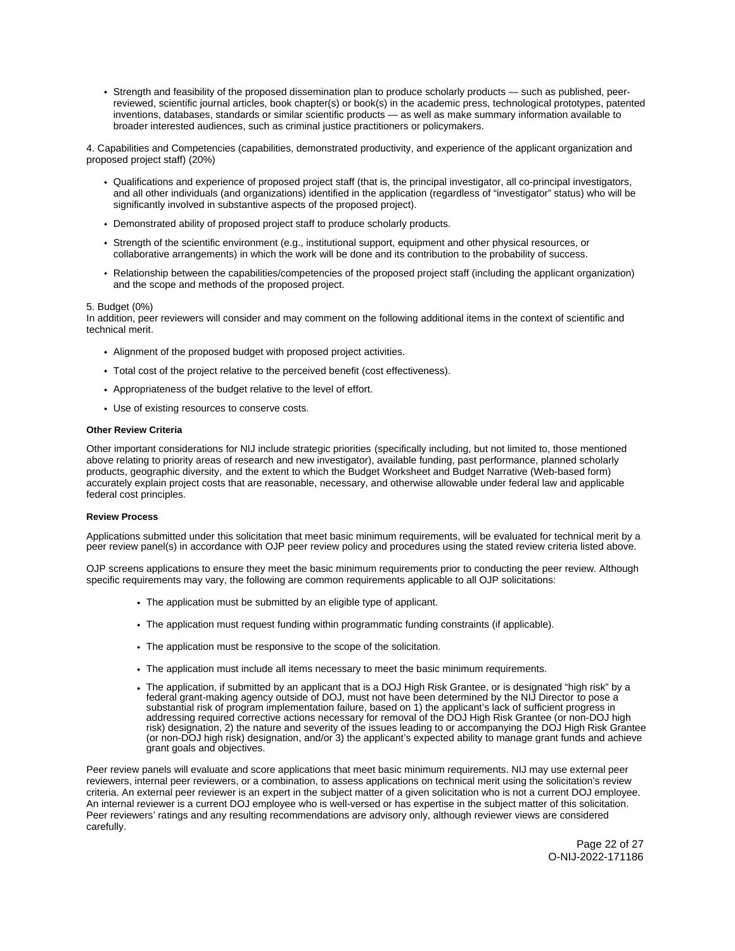<span id="page-21-0"></span>Strength and feasibility of the proposed dissemination plan to produce scholarly products — such as published, peerreviewed, scientific journal articles, book chapter(s) or book(s) in the academic press, technological prototypes, patented inventions, databases, standards or similar scientific products — as well as make summary information available to broader interested audiences, such as criminal justice practitioners or policymakers.

4. Capabilities and Competencies (capabilities, demonstrated productivity, and experience of the applicant organization and proposed project staff) (20%)

- Qualifications and experience of proposed project staff (that is, the principal investigator, all co-principal investigators, and all other individuals (and organizations) identified in the application (regardless of "investigator" status) who will be significantly involved in substantive aspects of the proposed project).
- Demonstrated ability of proposed project staff to produce scholarly products.
- Strength of the scientific environment (e.g., institutional support, equipment and other physical resources, or collaborative arrangements) in which the work will be done and its contribution to the probability of success.
- Relationship between the capabilities/competencies of the proposed project staff (including the applicant organization) and the scope and methods of the proposed project.

# 5. Budget (0%)

In addition, peer reviewers will consider and may comment on the following additional items in the context of scientific and technical merit.

- Alignment of the proposed budget with proposed project activities.
- Total cost of the project relative to the perceived benefit (cost effectiveness).
- Appropriateness of the budget relative to the level of effort.
- Use of existing resources to conserve costs.

### **Other Review Criteria**

Other important considerations for NIJ include strategic priorities (specifically including, but not limited to, those mentioned above relating to priority areas of research and new investigator), available funding, past performance, planned scholarly products, geographic diversity, and the extent to which the Budget Worksheet and Budget Narrative (Web-based form) accurately explain project costs that are reasonable, necessary, and otherwise allowable under federal law and applicable federal cost principles.

# **Review Process**

Applications submitted under this solicitation that meet basic minimum requirements, will be evaluated for technical merit by a peer review panel(s) in accordance with OJP peer review policy and procedures using the stated review criteria listed above.

OJP screens applications to ensure they meet the basic minimum requirements prior to conducting the peer review. Although specific requirements may vary, the following are common requirements applicable to all OJP solicitations:

- The application must be submitted by an eligible type of applicant.
- The application must request funding within programmatic funding constraints (if applicable).
- The application must be responsive to the scope of the solicitation.
- The application must include all items necessary to meet the basic minimum requirements.
- The application, if submitted by an applicant that is a DOJ High Risk Grantee, or is designated "high risk" by a federal grant-making agency outside of DOJ, must not have been determined by the NIJ Director to pose a substantial risk of program implementation failure, based on 1) the applicant's lack of sufficient progress in addressing required corrective actions necessary for removal of the DOJ High Risk Grantee (or non-DOJ high risk) designation, 2) the nature and severity of the issues leading to or accompanying the DOJ High Risk Grantee (or non-DOJ high risk) designation, and/or 3) the applicant's expected ability to manage grant funds and achieve grant goals and objectives.

Peer review panels will evaluate and score applications that meet basic minimum requirements. NIJ may use external peer reviewers, internal peer reviewers, or a combination, to assess applications on technical merit using the solicitation's review criteria. An external peer reviewer is an expert in the subject matter of a given solicitation who is not a current DOJ employee. An internal reviewer is a current DOJ employee who is well-versed or has expertise in the subject matter of this solicitation. Peer reviewers' ratings and any resulting recommendations are advisory only, although reviewer views are considered carefully.

> Page 22 of 27 O-NIJ-2022-171186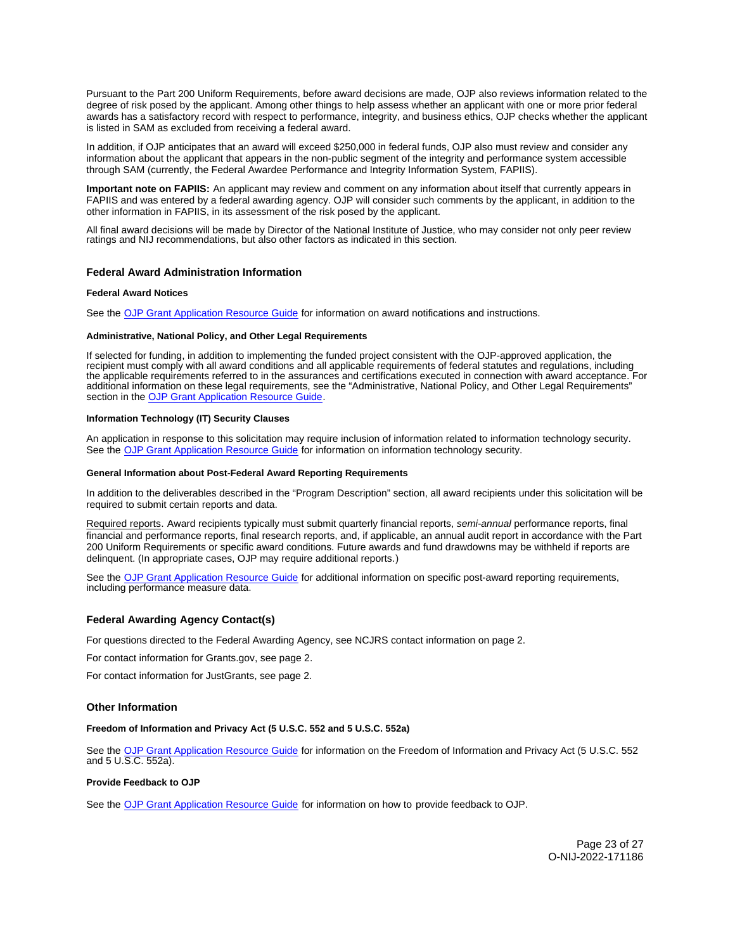<span id="page-22-0"></span>Pursuant to the Part 200 Uniform Requirements, before award decisions are made, OJP also reviews information related to the degree of risk posed by the applicant. Among other things to help assess whether an applicant with one or more prior federal awards has a satisfactory record with respect to performance, integrity, and business ethics, OJP checks whether the applicant is listed in SAM as excluded from receiving a federal award.

In addition, if OJP anticipates that an award will exceed \$250,000 in federal funds, OJP also must review and consider any information about the applicant that appears in the non-public segment of the integrity and performance system accessible through SAM (currently, the Federal Awardee Performance and Integrity Information System, FAPIIS).

**Important note on FAPIIS:** An applicant may review and comment on any information about itself that currently appears in FAPIIS and was entered by a federal awarding agency. OJP will consider such comments by the applicant, in addition to the other information in FAPIIS, in its assessment of the risk posed by the applicant.

All final award decisions will be made by Director of the National Institute of Justice, who may consider not only peer review ratings and NIJ recommendations, but also other factors as indicated in this section.

# **Federal Award Administration Information**

# **Federal Award Notices**

See the [OJP Grant Application Resource Guide](https://www.ojp.gov/funding/apply/ojp-grant-application-resource-guide#federal-award-notices) for information on award notifications and instructions.

#### **Administrative, National Policy, and Other Legal Requirements**

If selected for funding, in addition to implementing the funded project consistent with the OJP-approved application, the recipient must comply with all award conditions and all applicable requirements of federal statutes and regulations, including the applicable requirements referred to in the assurances and certifications executed in connection with award acceptance. For additional information on these legal requirements, see the "Administrative, National Policy, and Other Legal Requirements" section in the [OJP Grant Application Resource Guide.](https://www.ojp.gov/funding/apply/ojp-grant-application-resource-guide#administrative)

# **Information Technology (IT) Security Clauses**

An application in response to this solicitation may require inclusion of information related to information technology security. See the [OJP Grant Application Resource Guide](https://www.ojp.gov/funding/apply/ojp-grant-application-resource-guide#information-technology) for information on information technology security.

### **General Information about Post-Federal Award Reporting Requirements**

In addition to the deliverables described in the "Program Description" section, all award recipients under this solicitation will be required to submit certain reports and data.

Required reports. Award recipients typically must submit quarterly financial reports, semi-annual performance reports, final financial and performance reports, final research reports, and, if applicable, an annual audit report in accordance with the Part 200 Uniform Requirements or specific award conditions. Future awards and fund drawdowns may be withheld if reports are delinquent. (In appropriate cases, OJP may require additional reports.)

See the [OJP Grant Application Resource Guide](https://www.ojp.gov/funding/apply/ojp-grant-application-resource-guide#general-information) for additional information on specific post-award reporting requirements, including performance measure data.

# **Federal Awarding Agency Contact(s)**

For questions directed to the Federal Awarding Agency, see NCJRS contact information on page 2.

For contact information for [Grants.gov](https://Grants.gov), see page 2.

For contact information for JustGrants, see page 2.

# **Other Information**

# **Freedom of Information and Privacy Act (5 U.S.C. 552 and 5 U.S.C. 552a)**

See the [OJP Grant Application Resource Guide](https://www.ojp.gov/funding/apply/ojp-grant-application-resource-guide#foia) for information on the Freedom of Information and Privacy Act (5 U.S.C. 552 and 5 U.S.C. 552a).

# **Provide Feedback to OJP**

See the [OJP Grant Application Resource Guide](https://www.ojp.gov/funding/apply/ojp-grant-application-resource-guide#feedback) for information on how to provide feedback to OJP.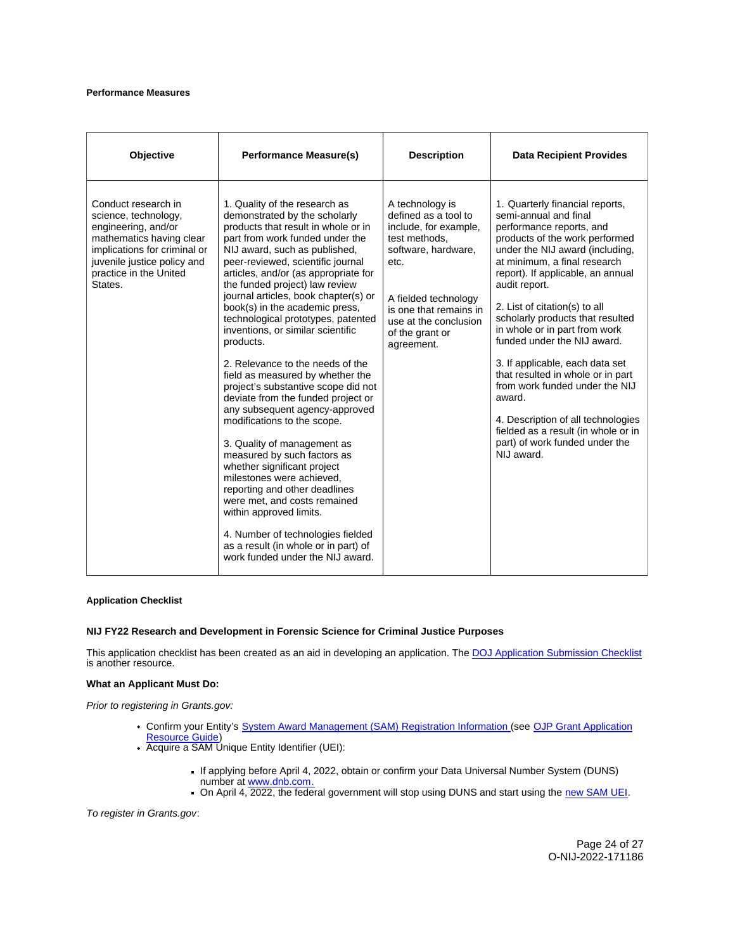# <span id="page-23-0"></span>**Performance Measures**

| Objective                                                                                                                                                                                          | <b>Performance Measure(s)</b>                                                                                                                                                                                                                                                                                                                                                                                                                                                                                                                                                                                                                                                                                                                                                                                                                                                                                                                                                                                           | <b>Description</b>                                                                                                                                                                                                           | <b>Data Recipient Provides</b>                                                                                                                                                                                                                                                                                                                                                                                                                                                                                                                                                                                                        |
|----------------------------------------------------------------------------------------------------------------------------------------------------------------------------------------------------|-------------------------------------------------------------------------------------------------------------------------------------------------------------------------------------------------------------------------------------------------------------------------------------------------------------------------------------------------------------------------------------------------------------------------------------------------------------------------------------------------------------------------------------------------------------------------------------------------------------------------------------------------------------------------------------------------------------------------------------------------------------------------------------------------------------------------------------------------------------------------------------------------------------------------------------------------------------------------------------------------------------------------|------------------------------------------------------------------------------------------------------------------------------------------------------------------------------------------------------------------------------|---------------------------------------------------------------------------------------------------------------------------------------------------------------------------------------------------------------------------------------------------------------------------------------------------------------------------------------------------------------------------------------------------------------------------------------------------------------------------------------------------------------------------------------------------------------------------------------------------------------------------------------|
| Conduct research in<br>science, technology,<br>engineering, and/or<br>mathematics having clear<br>implications for criminal or<br>juvenile justice policy and<br>practice in the United<br>States. | 1. Quality of the research as<br>demonstrated by the scholarly<br>products that result in whole or in<br>part from work funded under the<br>NIJ award, such as published,<br>peer-reviewed, scientific journal<br>articles, and/or (as appropriate for<br>the funded project) law review<br>journal articles, book chapter(s) or<br>book(s) in the academic press,<br>technological prototypes, patented<br>inventions, or similar scientific<br>products.<br>2. Relevance to the needs of the<br>field as measured by whether the<br>project's substantive scope did not<br>deviate from the funded project or<br>any subsequent agency-approved<br>modifications to the scope.<br>3. Quality of management as<br>measured by such factors as<br>whether significant project<br>milestones were achieved,<br>reporting and other deadlines<br>were met, and costs remained<br>within approved limits.<br>4. Number of technologies fielded<br>as a result (in whole or in part) of<br>work funded under the NIJ award. | A technology is<br>defined as a tool to<br>include, for example,<br>test methods.<br>software, hardware,<br>etc.<br>A fielded technology<br>is one that remains in<br>use at the conclusion<br>of the grant or<br>agreement. | 1. Quarterly financial reports,<br>semi-annual and final<br>performance reports, and<br>products of the work performed<br>under the NIJ award (including,<br>at minimum, a final research<br>report). If applicable, an annual<br>audit report.<br>2. List of citation(s) to all<br>scholarly products that resulted<br>in whole or in part from work<br>funded under the NIJ award.<br>3. If applicable, each data set<br>that resulted in whole or in part<br>from work funded under the NIJ<br>award.<br>4. Description of all technologies<br>fielded as a result (in whole or in<br>part) of work funded under the<br>NIJ award. |

# **Application Checklist**

# **NIJ FY22 Research and Development in Forensic Science for Criminal Justice Purposes**

This application checklist has been created as an aid in developing an application. The DOJ Application Submission Checklist is another resource.

#### **What an Applicant Must Do:**

Prior to registering in [Grants.gov:](https://Grants.gov)

- Confirm your Entity's [System Award Management \(SAM\)](https://sam.gov/SAM/) Registration Information (see OJP Grant Application [Resource Guide\)](https://www.ojp.gov/funding/apply/ojp-grant-application-resource-guide#apply)
- Acquire a SAM Unique Entity Identifier (UEI):
	- If applying before April 4, 2022, obtain or confirm your Data Universal Number System (DUNS) number at [www.dnb.com.](http://www.dnb.com)
	- On April 4, 2022, the federal government will stop using DUNS and start using the [new SAM UEI.](https://justicegrants.usdoj.gov/resources/system-for-award-management#transition-to-unique-entity-id-sam)

To register in [Grants.gov](https://Grants.gov):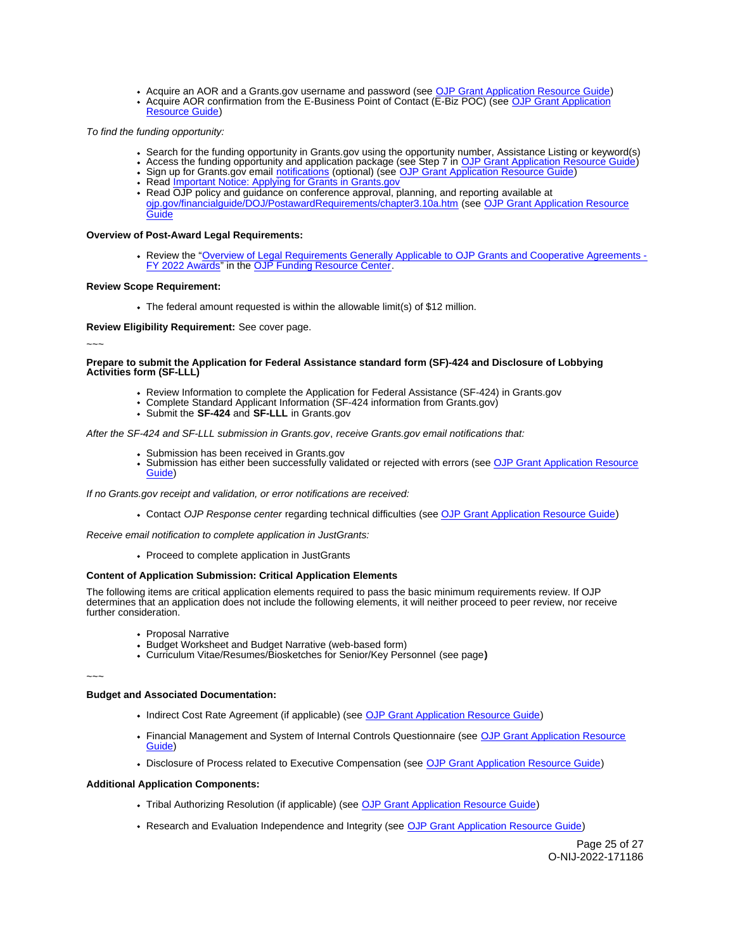- Acquire an AOR and a [Grants.gov](https://Grants.gov) username and password (see [OJP Grant Application Resource Guide\)](https://www.ojp.gov/funding/apply/ojp-grant-application-resource-guide#apply) Acquire AOR confirmation from the E-Business Point of Contact (E-Biz POC) (see [OJP Grant Application](https://www.ojp.gov/funding/apply/ojp-grant-application-resource-guide#apply)
- [Resource Guide\)](https://www.ojp.gov/funding/apply/ojp-grant-application-resource-guide#apply)

To find the funding opportunity:

- Search for the funding opportunity in [Grants.gov](https://Grants.gov) using the opportunity number, Assistance Listing or keyword(s)
- Access the funding opportunity and application package (see Step 7 in [OJP Grant Application Resource Guide\)](https://www.ojp.gov/funding/apply/ojp-grant-application-resource-guide#apply)
- Sign up for [Grants.gov](https://Grants.gov) email [notifications](https://www.grants.gov/web/grants/manage-subscriptions.html) (optional) (see [OJP Grant Application Resource Guide\)](https://www.ojp.gov/funding/apply/ojp-grant-application-resource-guide#apply)
- Read *Important Notice: Applying for Grants in Grants.gov* Read OJP policy and guidance on conference approval, planning, and reporting available at
- [ojp.gov/financialguide/DOJ/PostawardRequirements/chapter3.10a.htm](https://ojp.gov/financialguide/DOJ/PostawardRequirements/chapter3.10a.htm) (see [OJP Grant Application Resource](https://www.ojp.gov/funding/apply/ojp-grant-application-resource-guide#prior-approval)  [Guide](https://www.ojp.gov/funding/apply/ojp-grant-application-resource-guide#prior-approval)

**Overview of Post-Award Legal Requirements:** 

Review the "[Overview of Legal Requirements Generally Applicable to OJP Grants and Cooperative Agreements -](https://www.ojp.gov/funding/explore/legal-overview-awards) [FY 2022 Awards"](https://www.ojp.gov/funding/explore/legal-overview-awards) in the [OJP Funding Resource Center.](https://www.ojp.gov/funding/explore/legal-overview-awards)

# **Review Scope Requirement:**

The federal amount requested is within the allowable limit(s) of \$12 million.

**Review Eligibility Requirement:** See cover page.

~~~

# **Prepare to submit the Application for Federal Assistance standard form (SF)-424 and Disclosure of Lobbying Activities form (SF-LLL)**

- Review Information to complete the Application for Federal Assistance (SF-424) in [Grants.gov](https://Grants.gov)
- Complete Standard Applicant Information (SF-424 information from [Grants.gov\)](https://Grants.gov)
- Submit the **SF-424** and **SF-LLL** in [Grants.gov](https://Grants.gov)

After the SF-424 and SF-LLL submission in [Grants.gov](https://Grants.gov), receive [Grants.gov](https://Grants.gov) email notifications that:

- 
- Submission has been received in [Grants.gov](https://Grants.gov)<br>Submission has either been succ[essfully valid](https://Grants.gov)ated or rejected with errors (see OJP Grant Application Resource [Guide\)](https://www.ojp.gov/funding/apply/ojp-grant-application-resource-guide#apply)

If no [Grants.gov](https://Grants.gov) receipt and validation, or error notifications are received:

Contact OJP Response center regarding technical difficulties (see [OJP Grant Application Resource Guide\)](https://www.ojp.gov/funding/apply/ojp-grant-application-resource-guide#apply)

Receive email notification to complete application in JustGrants:

• Proceed to complete application in JustGrants

# **Content of Application Submission: Critical Application Elements**

The following items are critical application elements required to pass the basic minimum requirements review. If OJP determines that an application does not include the following elements, it will neither proceed to peer review, nor receive further consideration.

- Proposal Narrative
- Budget Worksheet and Budget Narrative (web-based form)
- Curriculum Vitae/Resumes/Biosketches for Senior/Key Personnel (see page**)**

~~~

# **Budget and Associated Documentation:**

- Indirect Cost Rate Agreement (if applicable) (see [OJP Grant Application Resource Guide\)](https://www.ojp.gov/funding/apply/ojp-grant-application-resource-guide#indirect-cost)
- Financial Management and System of Internal Controls Questionnaire (see OJP Grant Application Resource [Guide\)](https://www.ojp.gov/funding/apply/ojp-grant-application-resource-guide#fm-internal-controls-questionnaire)
- Disclosure of Process related to Executive Compensation (see [OJP Grant Application Resource Guide\)](https://www.ojp.gov/funding/apply/ojp-grant-application-resource-guide#disclosure-process-executive)

# **Additional Application Components:**

- Tribal Authorizing Resolution (if applicable) (see [OJP Grant Application Resource Guide\)](https://www.ojp.gov/funding/apply/ojp-grant-application-resource-guide#tribal-authorizing-resolution)
- Research and Evaluation Independence and Integrity (see [OJP Grant Application Resource Guide\)](https://www.ojp.gov/funding/apply/ojp-grant-application-resource-guide#research-evaluation)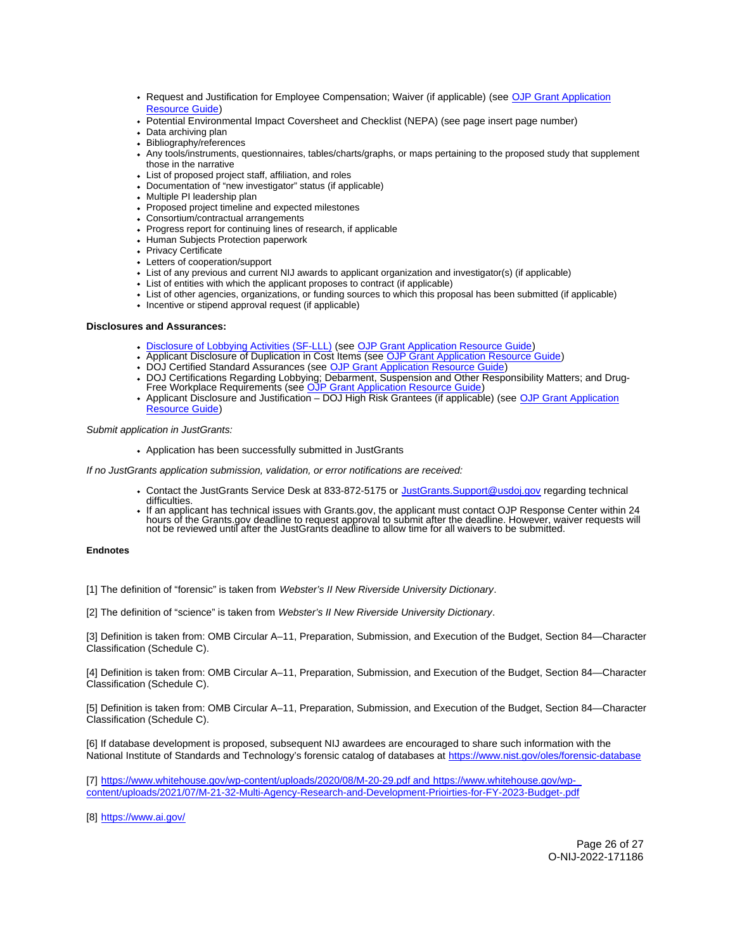- <span id="page-25-0"></span>• Request and Justification for Employee Compensation; Waiver (if applicable) (see OJP Grant Application [Resource Guide\)](https://www.ojp.gov/funding/apply/ojp-grant-application-resource-guide#limitation-use-award)
- Potential Environmental Impact Coversheet and Checklist (NEPA) (see page insert page number)
- Data archiving plan
- Bibliography/references
- Any tools/instruments, questionnaires, tables/charts/graphs, or maps pertaining to the proposed study that supplement those in the narrative
- List of proposed project staff, affiliation, and roles
- Documentation of "new investigator" status (if applicable)
- Multiple PI leadership plan
- Proposed project timeline and expected milestones
- Consortium/contractual arrangements
- Progress report for continuing lines of research, if applicable
- Human Subjects Protection paperwork
- Privacy Certificate
- Letters of cooperation/support
- List of any previous and current NIJ awards to applicant organization and investigator(s) (if applicable)
- List of entities with which the applicant proposes to contract (if applicable)
- List of other agencies, organizations, or funding sources to which this proposal has been submitted (if applicable)
- Incentive or stipend approval request (if applicable)

# **Disclosures and Assurances:**

- [Disclosure of Lobbying Activities \(SF-LLL\)](https://ojp.gov/funding/Apply/Resources/Disclosure.pdf) (see [OJP Grant Application Resource Guide\)](https://www.ojp.gov/funding/apply/ojp-grant-application-resource-guide#disclosure-lobby)
- Applicant Disclosure of Duplication in Cost Items (see [OJP Grant Application Resource Guide\)](https://www.ojp.gov/funding/apply/ojp-grant-application-resource-guide#applicant-disclosure-pending-applications)
- DOJ Certified Standard Assurances (see [OJP Grant Application Resource Guide\)](https://www.ojp.gov/funding/apply/ojp-grant-application-resource-guide#administrative)
- DOJ Certifications Regarding Lobbying; Debarment, Suspension and Other Responsibility Matters; and Drug-<br>Free Workplace Requirements (see [OJP Grant Application Resource Guide\)](https://www.ojp.gov/funding/apply/ojp-grant-application-resource-guide#administrative)  $\bullet$
- Applicant Disclosure and Justification DOJ High Risk Grantees (if applicable) (see OJP Grant Application [Resource Guide\)](https://www.ojp.gov/funding/apply/ojp-grant-application-resource-guide#applicant-disclosure-justification)

# Submit application in JustGrants:

Application has been successfully submitted in JustGrants

If no JustGrants application submission, validation, or error notifications are received:

- Contact the JustGrants Service Desk at 833-872-5175 or [JustGrants.Support@usdoj.gov](mailto:JustGrants.Support@usdoj.gov) regarding technical difficulties.
- If an applicant has technical issues with [Grants.gov,](https://Grants.gov) the applicant must contact OJP Response Center within 24 hours of the [Grants.gov](https://Grants.gov) deadline to request approval to submit after the deadline. However, waiver requests will not be reviewed until after the JustGrants deadline to allow time for all waivers to be submitted.

# **Endnotes**

[1] The definition of "forensic" is taken from Webster's II New Riverside University Dictionary.

[2] The definition of "science" is taken from Webster's II New Riverside University Dictionary.

[3] Definition is taken from: OMB Circular A–11, Preparation, Submission, and Execution of the Budget, Section 84—Character Classification (Schedule C).

[4] Definition is taken from: OMB Circular A–11, Preparation, Submission, and Execution of the Budget, Section 84—Character Classification (Schedule C).

[5] Definition is taken from: OMB Circular A–11, Preparation, Submission, and Execution of the Budget, Section 84—Character Classification (Schedule C).

[6] If database development is proposed, subsequent NIJ awardees are encouraged to share such information with the National Institute of Standards and Technology's forensic catalog of databases at <https://www.nist.gov/oles/forensic-database>

[7] <https://www.whitehouse.gov/wp-content/uploads/2020/08/M-20-29.pdf>and [https://www.whitehouse.gov/wp](https://www.whitehouse.gov/wp-content/uploads/2021/07/M-21-32-Multi-Agency-Research-and-Development-Prioirties-for-FY-2023-Budget-.pdf)[content/uploads/2021/07/M-21-32-Multi-Agency-Research-and-Development-Prioirties-for-FY-2023-Budget-.pdf](https://www.whitehouse.gov/wp-content/uploads/2021/07/M-21-32-Multi-Agency-Research-and-Development-Prioirties-for-FY-2023-Budget-.pdf) 

[8] <https://www.ai.gov/>

Page 26 of 27 O-NIJ-2022-171186